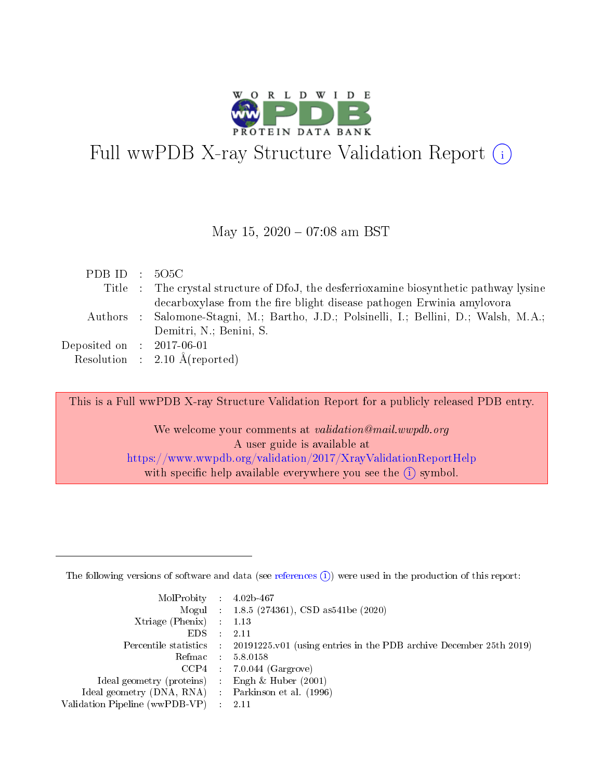

# Full wwPDB X-ray Structure Validation Report (i)

#### May 15,  $2020 - 07:08$  am BST

| PDBID : 5O5C                |                                                                                        |
|-----------------------------|----------------------------------------------------------------------------------------|
|                             | Title : The crystal structure of DfoJ, the desferrioxamine biosynthetic pathway lysine |
|                             | decarboxylase from the fire blight disease pathogen Erwinia amylovora                  |
|                             | Authors : Salomone-Stagni, M.; Bartho, J.D.; Polsinelli, I.; Bellini, D.; Walsh, M.A.; |
|                             | Demitri, N.; Benini, S.                                                                |
| Deposited on : $2017-06-01$ |                                                                                        |
|                             | Resolution : $2.10 \text{ Å}$ (reported)                                               |

This is a Full wwPDB X-ray Structure Validation Report for a publicly released PDB entry. We welcome your comments at validation@mail.wwpdb.org A user guide is available at

<https://www.wwpdb.org/validation/2017/XrayValidationReportHelp> with specific help available everywhere you see the  $(i)$  symbol.

The following versions of software and data (see [references](https://www.wwpdb.org/validation/2017/XrayValidationReportHelp#references)  $(1)$ ) were used in the production of this report:

| $MolProbability$ : 4.02b-467                        |               |                                                                                            |
|-----------------------------------------------------|---------------|--------------------------------------------------------------------------------------------|
|                                                     |               | Mogul : $1.8.5$ (274361), CSD as 541be (2020)                                              |
| Xtriage (Phenix) $: 1.13$                           |               |                                                                                            |
| EDS.                                                | $\mathcal{L}$ | 2.11                                                                                       |
|                                                     |               | Percentile statistics : 20191225.v01 (using entries in the PDB archive December 25th 2019) |
| Refmac 5.8.0158                                     |               |                                                                                            |
|                                                     |               | $CCP4$ : 7.0.044 (Gargrove)                                                                |
| Ideal geometry (proteins)                           |               | Engh $\&$ Huber (2001)                                                                     |
| Ideal geometry (DNA, RNA) : Parkinson et al. (1996) |               |                                                                                            |
| Validation Pipeline (wwPDB-VP) : 2.11               |               |                                                                                            |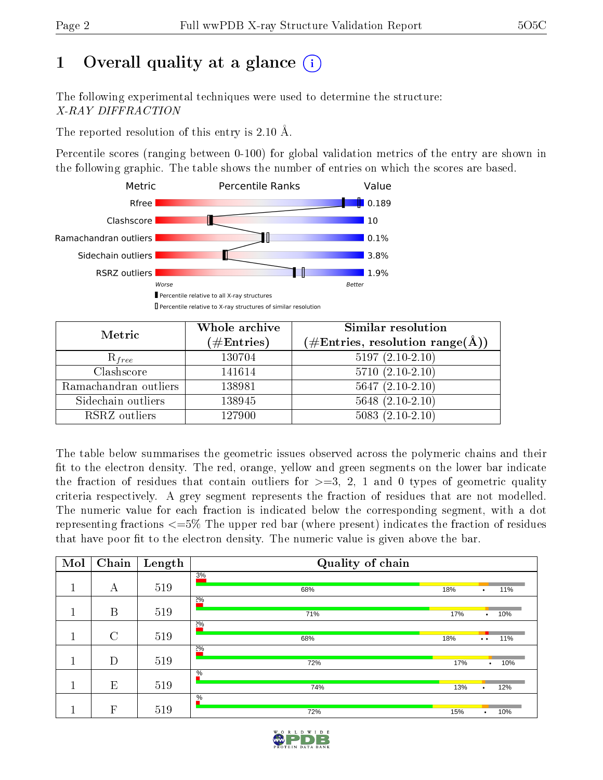# 1 [O](https://www.wwpdb.org/validation/2017/XrayValidationReportHelp#overall_quality)verall quality at a glance  $(i)$

The following experimental techniques were used to determine the structure: X-RAY DIFFRACTION

The reported resolution of this entry is 2.10 Å.

Percentile scores (ranging between 0-100) for global validation metrics of the entry are shown in the following graphic. The table shows the number of entries on which the scores are based.



| Metric                | Whole archive<br>$(\#\text{Entries})$ | Similar resolution<br>$(\#\text{Entries},\,\text{resolution}\,\,\text{range}(\textup{\AA}))$ |
|-----------------------|---------------------------------------|----------------------------------------------------------------------------------------------|
| $R_{free}$            | 130704                                | $5197(2.10-2.10)$                                                                            |
| Clashscore            | 141614                                | $5710(2.10-2.10)$                                                                            |
| Ramachandran outliers | 138981                                | $5647 (2.10-2.10)$                                                                           |
| Sidechain outliers    | 138945                                | $5648$ $(2.10-2.10)$                                                                         |
| RSRZ outliers         | 127900                                | $5083(2.10-2.10)$                                                                            |

The table below summarises the geometric issues observed across the polymeric chains and their fit to the electron density. The red, orange, yellow and green segments on the lower bar indicate the fraction of residues that contain outliers for  $>=3, 2, 1$  and 0 types of geometric quality criteria respectively. A grey segment represents the fraction of residues that are not modelled. The numeric value for each fraction is indicated below the corresponding segment, with a dot representing fractions  $\epsilon=5\%$  The upper red bar (where present) indicates the fraction of residues that have poor fit to the electron density. The numeric value is given above the bar.

| Mol | Chain                     | Length | Quality of chain |     |                      |     |
|-----|---------------------------|--------|------------------|-----|----------------------|-----|
| п   |                           |        | 3%               |     |                      |     |
|     | А                         | 519    | 18%<br>68%       |     | ٠                    | 11% |
|     |                           |        | $2\%$            |     |                      |     |
|     | B                         | 519    | 71%              | 17% | $\bullet$            | 10% |
|     |                           |        | $2\%$            |     |                      |     |
|     | $\rm C$                   | 519    | 18%<br>68%       |     | $\ddot{\phantom{a}}$ | 11% |
|     |                           |        | $2\%$            |     |                      |     |
|     | D                         | 519    | 72%              | 17% | $\bullet$            | 10% |
|     |                           |        | $\frac{0}{6}$    |     |                      |     |
|     | E                         | 519    | 74%              | 13% | $\bullet$            | 12% |
|     |                           |        | $\frac{0}{6}$    |     |                      |     |
|     | $\boldsymbol{\mathrm{F}}$ | 519    | 72%              | 15% | $\bullet$            | 10% |

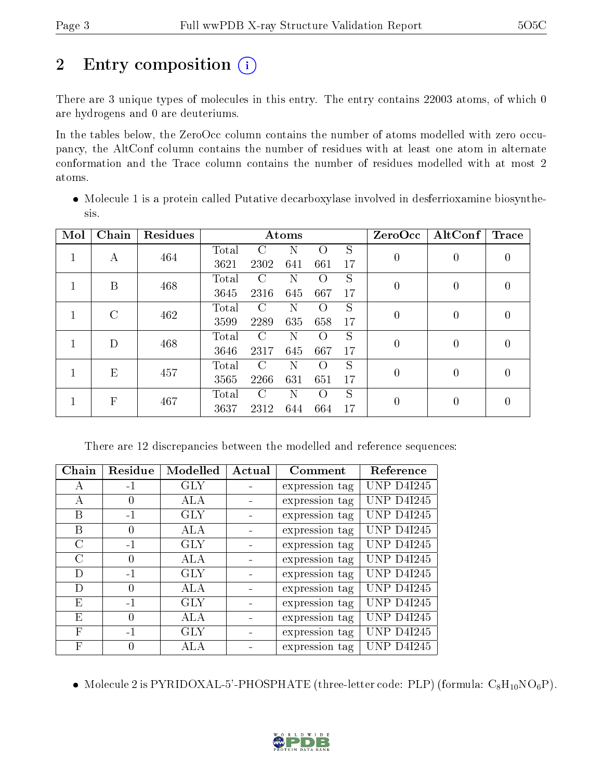# 2 Entry composition  $\left( \cdot \right)$

There are 3 unique types of molecules in this entry. The entry contains 22003 atoms, of which 0 are hydrogens and 0 are deuteriums.

In the tables below, the ZeroOcc column contains the number of atoms modelled with zero occupancy, the AltConf column contains the number of residues with at least one atom in alternate conformation and the Trace column contains the number of residues modelled with at most 2 atoms.

 Molecule 1 is a protein called Putative decarboxylase involved in desferrioxamine biosynthesis.

| Mol | Chain    | <b>Residues</b> |       |               | Atoms |                  |               | ZeroOcc          | AltConf        | Trace            |
|-----|----------|-----------------|-------|---------------|-------|------------------|---------------|------------------|----------------|------------------|
|     | А        | 464             | Total | $\mathcal{C}$ | N     | $\left( \right)$ | S             | $\boldsymbol{0}$ | $\overline{0}$ | 0                |
|     |          |                 | 3621  | 2302          | 641   | 661              | 17            |                  |                |                  |
|     | B        | 468             | Total | $\mathcal{C}$ | N     | $\left($ )       | S             | $\boldsymbol{0}$ | 0              | 0                |
|     |          |                 | 3645  | 2316          | 645   | 667              | <sup>17</sup> |                  |                |                  |
|     | $\Gamma$ | 462             | Total | C             | Ν     | $\left( \right)$ | S             | $\theta$         | 0              | $\left( \right)$ |
|     |          |                 | 3599  | 2289          | 635   | 658              | 17            |                  |                |                  |
|     | D        | 468             | Total | C             | N     | $\left( \right)$ | S             | $\overline{0}$   | $\overline{0}$ | $\left( \right)$ |
|     |          |                 | 3646  | 2317          | 645   | 667              | 17            |                  |                |                  |
|     | Е        | 457             | Total | $\mathcal{C}$ | N     | $\left($         | S             | $\overline{0}$   | 0              | $\left( \right)$ |
|     |          | 3565            | 2266  | 631           | 651   | 17               |               |                  |                |                  |
|     |          | F<br>467        | Total | C             | Ν     | $\left( \right)$ | S             |                  | 0              |                  |
|     |          |                 | 3637  | 2312          | 644   | 664              | 17            | $\theta$         |                |                  |

There are 12 discrepancies between the modelled and reference sequences:

| Chain         | Residue          | Modelled   | Actual | Comment        | Reference         |
|---------------|------------------|------------|--------|----------------|-------------------|
| A             | $-1$             | <b>GLY</b> |        | expression tag | <b>UNP D4I245</b> |
| А             |                  | ALA        |        | expression tag | <b>UNP D4I245</b> |
| В             | $-1$             | GLY        |        | expression tag | <b>UNP D4I245</b> |
| В             |                  | ALA        |        | expression tag | <b>UNP D4I245</b> |
| $\mathcal{C}$ | $-1$             | <b>GLY</b> |        | expression tag | <b>UNP D4I245</b> |
| $\mathcal{C}$ | $\left( \right)$ | <b>ALA</b> |        | expression tag | <b>UNP D4I245</b> |
| D             | $-1$             | <b>GLY</b> |        | expression tag | <b>UNP D4I245</b> |
| D             | $\left( \right)$ | ALA        |        | expression tag | <b>UNP D4I245</b> |
| Ε             | $-1$             | <b>GLY</b> |        | expression tag | <b>UNP D4I245</b> |
| Ε             |                  | <b>ALA</b> |        | expression tag | <b>UNP D4I245</b> |
| F             | $-1$             | <b>GLY</b> |        | expression tag | <b>UNP D4I245</b> |
| F             |                  | ALA        |        | expression tag | <b>UNP D4I245</b> |

• Molecule 2 is PYRIDOXAL-5'-PHOSPHATE (three-letter code: PLP) (formula:  $C_8H_{10}NO_6P$ ).

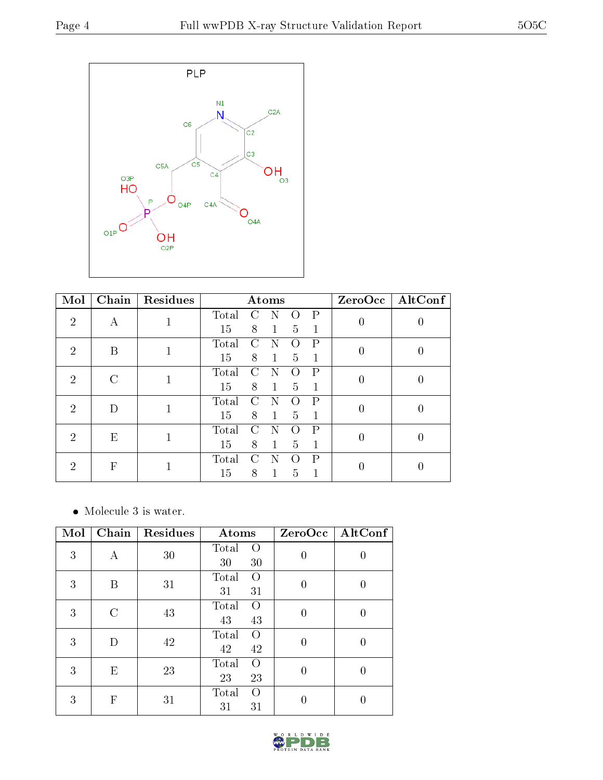

| Mol                         | Chain              | Residues |       |               | Atoms        |   |   | ZeroOcc          | $\vert$ AltConf |               |   |  |   |   |  |
|-----------------------------|--------------------|----------|-------|---------------|--------------|---|---|------------------|-----------------|---------------|---|--|---|---|--|
| $\mathcal{D}$               | А                  |          | Total |               |              |   | P | $\left( \right)$ |                 |               |   |  |   |   |  |
|                             |                    |          | 15    | 8             | $\mathbf{1}$ | 5 | 1 |                  |                 |               |   |  |   |   |  |
| $\mathcal{D}_{\mathcal{L}}$ | В                  | 1        | Total | $\mathcal{C}$ | N            |   | P | 0                |                 |               |   |  |   |   |  |
|                             |                    |          | 15    | 8             | $\mathbf{1}$ | 5 | 1 |                  |                 |               |   |  |   |   |  |
| $\mathcal{D}$               | $\curvearrowright$ |          | Total | C             | N            |   | Ρ |                  |                 |               |   |  |   |   |  |
|                             |                    | 15       | 8     | $\mathbf{1}$  | 5            | 1 |   |                  |                 |               |   |  |   |   |  |
| $\overline{2}$              | Ð                  |          | Total |               |              |   | Ρ | 0                |                 |               |   |  |   |   |  |
|                             |                    |          | 15    | 8             | 1            | 5 | 1 |                  |                 |               |   |  |   |   |  |
| $\mathcal{D}_{\mathcal{L}}$ |                    |          |       | Е             |              |   |   | 1                | Total           | $\mathcal{C}$ | N |  | P | 0 |  |
|                             |                    |          | 15    | 8             | $\mathbf{1}$ | 5 | 1 |                  |                 |               |   |  |   |   |  |
| $\mathcal{D}$               | F                  |          | Total | C             | N            |   | Р |                  |                 |               |   |  |   |   |  |
|                             |                    |          | 15    | 8             |              | 5 |   |                  |                 |               |   |  |   |   |  |

 $\bullet\,$  Molecule 3 is water.

| Mol | $\overline{\text{Chain}}$ | Residues | Atoms                                 | ZeroOcc  | AltConf          |
|-----|---------------------------|----------|---------------------------------------|----------|------------------|
| 3   | Α                         | 30       | Total<br>$\Omega$<br>30<br>30         | $\theta$ | 0                |
| 3   | В                         | 31       | Total<br>$\left( \right)$<br>31<br>31 | 0        | U                |
| 3   | C                         | 43       | Total<br>$\left( \right)$<br>43<br>43 | $\theta$ | U                |
| 3   | D                         | 42       | Total<br>$\Omega$<br>42<br>42         | $\Omega$ | $\left( \right)$ |
| 3   | E                         | 23       | Total<br>$\Omega$<br>23<br>23         | $\theta$ | 0                |
| 3   | $\mathbf F$               | 31       | Total<br>$\Omega$<br>31<br>31         | 0        | 0                |

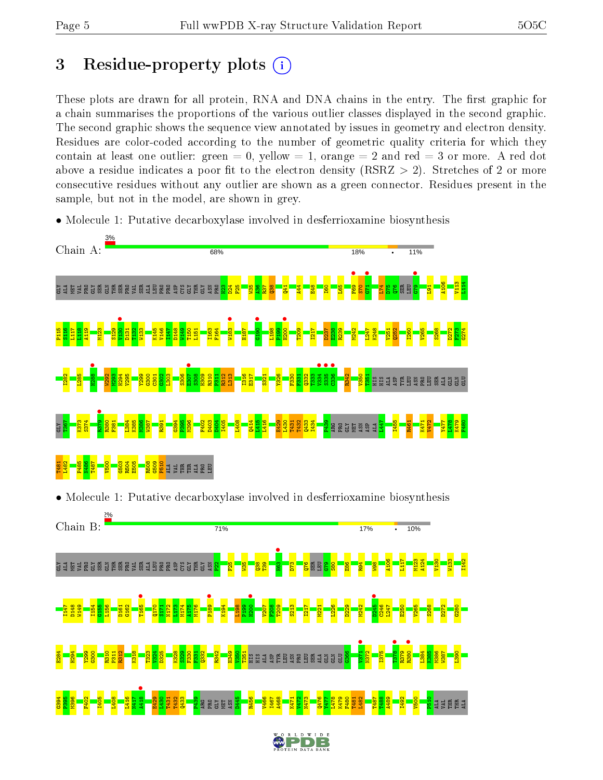# 3 Residue-property plots  $(i)$

These plots are drawn for all protein, RNA and DNA chains in the entry. The first graphic for a chain summarises the proportions of the various outlier classes displayed in the second graphic. The second graphic shows the sequence view annotated by issues in geometry and electron density. Residues are color-coded according to the number of geometric quality criteria for which they contain at least one outlier: green  $= 0$ , yellow  $= 1$ , orange  $= 2$  and red  $= 3$  or more. A red dot above a residue indicates a poor fit to the electron density (RSRZ  $> 2$ ). Stretches of 2 or more consecutive residues without any outlier are shown as a green connector. Residues present in the sample, but not in the model, are shown in grey.

• Molecule 1: Putative decarboxylase involved in desferrioxamine biosynthesis

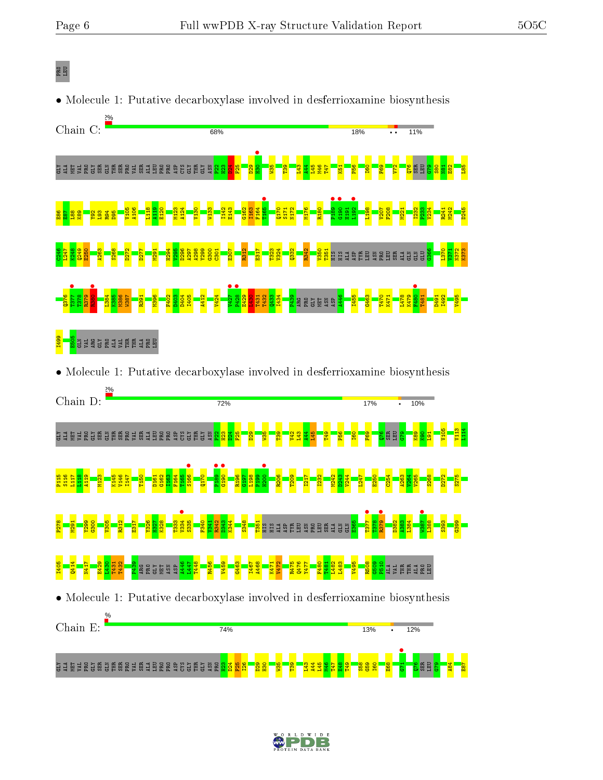### PRO LEU



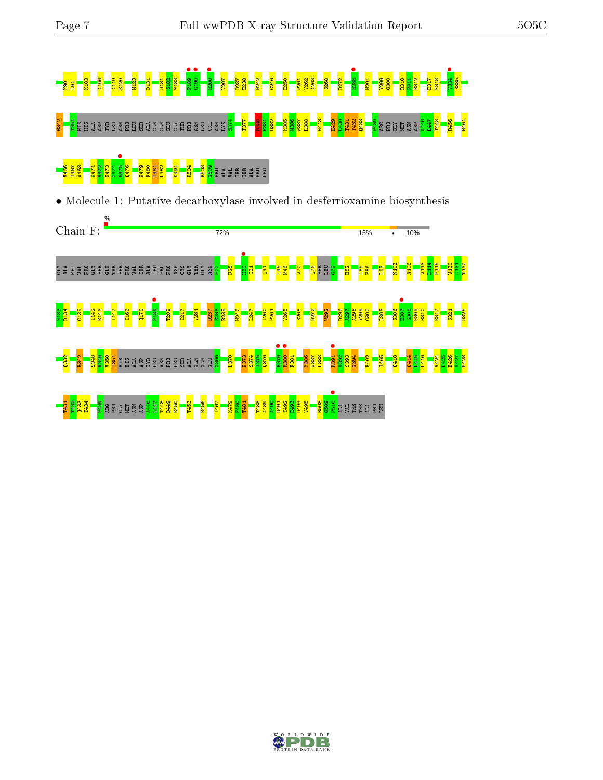

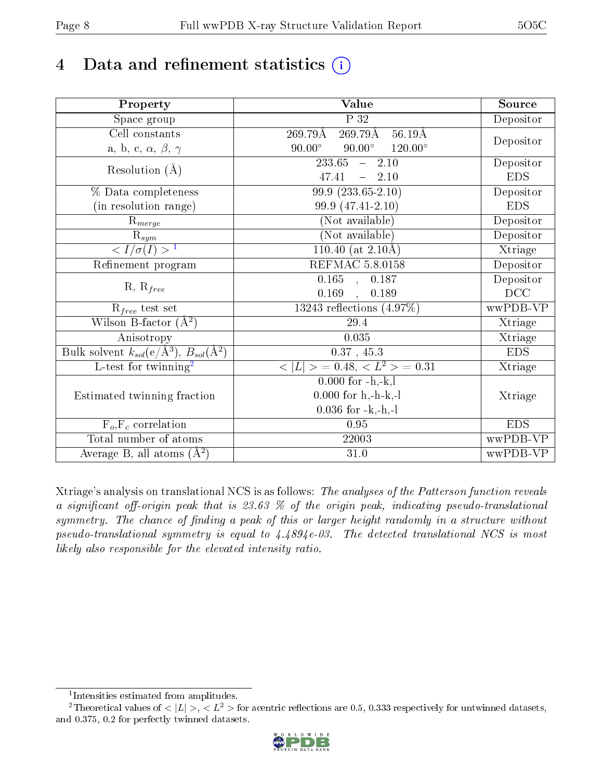# 4 Data and refinement statistics  $(i)$

| Property                                                         | Value                                              | Source     |
|------------------------------------------------------------------|----------------------------------------------------|------------|
| Space group                                                      | P 32                                               | Depositor  |
| $\overline{\text{Cell}}$ constants                               | $269.79\text{\AA}$<br>$56.19\text{\AA}$<br>269.79Å |            |
| a, b, c, $\alpha$ , $\beta$ , $\gamma$                           | $90.00^\circ$<br>$90.00^\circ$<br>$120.00^\circ$   | Depositor  |
| Resolution $(\AA)$                                               | $\overline{233.65}$ - 2.10                         | Depositor  |
|                                                                  | 47.41<br>$-2.10$                                   | <b>EDS</b> |
| % Data completeness                                              | $99.9(233.65-2.10)$                                | Depositor  |
| (in resolution range)                                            | 99.9 (47.41-2.10)                                  | <b>EDS</b> |
| $R_{merge}$                                                      | (Not available)                                    | Depositor  |
| $\overline{\mathbf{R}}_{\underline{sym}}$                        | (Not available)                                    | Depositor  |
| $\langle I/\sigma(I) \rangle$ <sup>1</sup>                       | $110.40$ (at 2.10Å)                                | Xtriage    |
| Refinement program                                               | <b>REFMAC 5.8.0158</b>                             | Depositor  |
|                                                                  | $\overline{0.165}$ , 0.187                         | Depositor  |
| $R, R_{free}$                                                    | 0.169<br>, 0.189                                   | DCC        |
| $R_{free}$ test set                                              | $13243$ reflections $(4.97\%)$                     | wwPDB-VP   |
| Wilson B-factor $(A^2)$                                          | 29.4                                               | Xtriage    |
| Anisotropy                                                       | 0.035                                              | Xtriage    |
| Bulk solvent $k_{sol}(\text{e}/\text{A}^3), B_{sol}(\text{A}^2)$ | 0.37, 45.3                                         | <b>EDS</b> |
| L-test for twinning <sup>2</sup>                                 | $< L >$ = 0.48, $< L2 >$ = 0.31                    | Xtriage    |
|                                                                  | $0.000$ for $-h,-k,l$                              |            |
| Estimated twinning fraction                                      | $0.000$ for h,-h-k,-l                              | Xtriage    |
|                                                                  | $0.036$ for $-k,-h,-l$                             |            |
| $\overline{F_o}, \overline{F_c}$ correlation                     | 0.95                                               | <b>EDS</b> |
| Total number of atoms                                            | 22003                                              | wwPDB-VP   |
| Average B, all atoms $(A^2)$                                     | 31.0                                               | wwPDB-VP   |

Xtriage's analysis on translational NCS is as follows: The analyses of the Patterson function reveals a significant off-origin peak that is 23.63  $\%$  of the origin peak, indicating pseudo-translational symmetry. The chance of finding a peak of this or larger height randomly in a structure without pseudo-translational symmetry is equal to 4.4894e-03. The detected translational NCS is most likely also responsible for the elevated intensity ratio.

<sup>&</sup>lt;sup>2</sup>Theoretical values of  $\langle |L| \rangle$ ,  $\langle L^2 \rangle$  for acentric reflections are 0.5, 0.333 respectively for untwinned datasets, and 0.375, 0.2 for perfectly twinned datasets.



<span id="page-7-1"></span><span id="page-7-0"></span><sup>1</sup> Intensities estimated from amplitudes.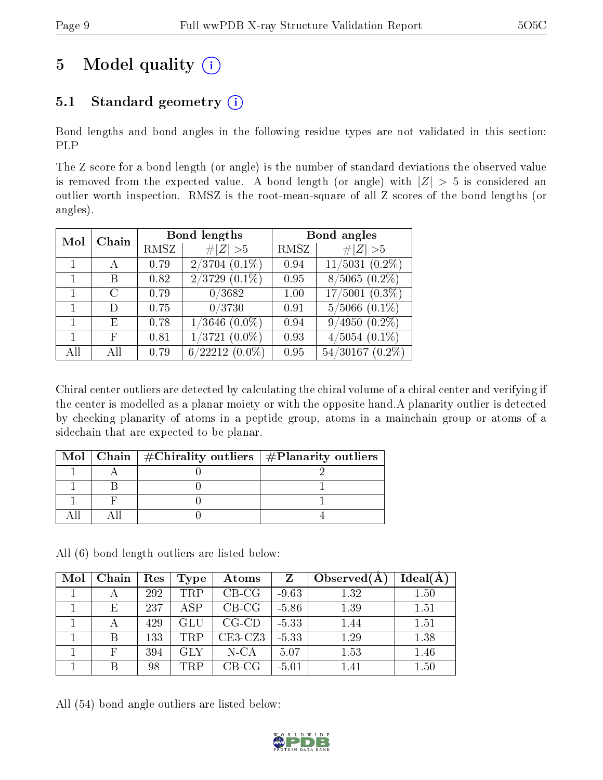# 5 Model quality  $(i)$

# 5.1 Standard geometry  $(i)$

Bond lengths and bond angles in the following residue types are not validated in this section: PLP

The Z score for a bond length (or angle) is the number of standard deviations the observed value is removed from the expected value. A bond length (or angle) with  $|Z| > 5$  is considered an outlier worth inspection. RMSZ is the root-mean-square of all Z scores of the bond lengths (or angles).

| Mol | Chain |      | Bond lengths              | Bond angles |                      |  |
|-----|-------|------|---------------------------|-------------|----------------------|--|
|     |       | RMSZ | # $ Z  > 5$               | RMSZ        | Z   > 5              |  |
|     | А     | 0.79 | $2/3704$ $(0.1\%)$        | 0.94        | $11/5031$ $(0.2\%)$  |  |
|     | В     | 0.82 | $\sqrt{2/3729}$ $(0.1\%)$ | 0.95        | $8/5065(0.2\%)$      |  |
|     | C     | 0.79 | 0/3682                    | 1.00        | $17/5001$ $(0.3\%)$  |  |
|     | Ð     | 0.75 | 0/3730                    | 0.91        | $5/5066$ $(0.1\%)$   |  |
|     | Ε     | 0.78 | $1/3646$ $(0.0\%)$        | 0.94        | $9/4950(0.2\%)$      |  |
|     | F     | 0.81 | $1/3721$ $(0.0\%)$        | 0.93        | $4/5054$ $(0.1\%)$   |  |
| AH  | ΑH    | 0.79 | $6/22212(0.0\%)$          | 0.95        | $54/30167$ $(0.2\%)$ |  |

Chiral center outliers are detected by calculating the chiral volume of a chiral center and verifying if the center is modelled as a planar moiety or with the opposite hand.A planarity outlier is detected by checking planarity of atoms in a peptide group, atoms in a mainchain group or atoms of a sidechain that are expected to be planar.

|  | Mol   Chain   $\#\text{Chirality outliers}$   $\#\text{Planarity outliers}$ |
|--|-----------------------------------------------------------------------------|
|  |                                                                             |
|  |                                                                             |
|  |                                                                             |
|  |                                                                             |

All (6) bond length outliers are listed below:

| Mol | Chain | Res | Type       | Atoms     | $Z_{\rm}$ | Observed $(A)$ | Ideal(A) |
|-----|-------|-----|------------|-----------|-----------|----------------|----------|
|     |       | 292 | <b>TRP</b> | $CB-CG$   | $-9.63$   | 1.32           | 1.50     |
|     | Е     | 237 | <b>ASP</b> | $CB-CG$   | $-5.86$   | 1.39           | 1.51     |
|     |       | 429 | GLU        | $CG-CD$   | $-5.33$   | 1.44           | 1.51     |
|     |       | 133 | <b>TRP</b> | $CE3-CZ3$ | $-5.33$   | 1.29           | 1.38     |
|     |       | 394 | <b>GLY</b> | $N$ -CA   | 5.07      | 1.53           | 1.46     |
|     |       | 98  | TRP        | $CB-CG$   | $-5.01$   | 1.41           | 1.50     |

All (54) bond angle outliers are listed below:

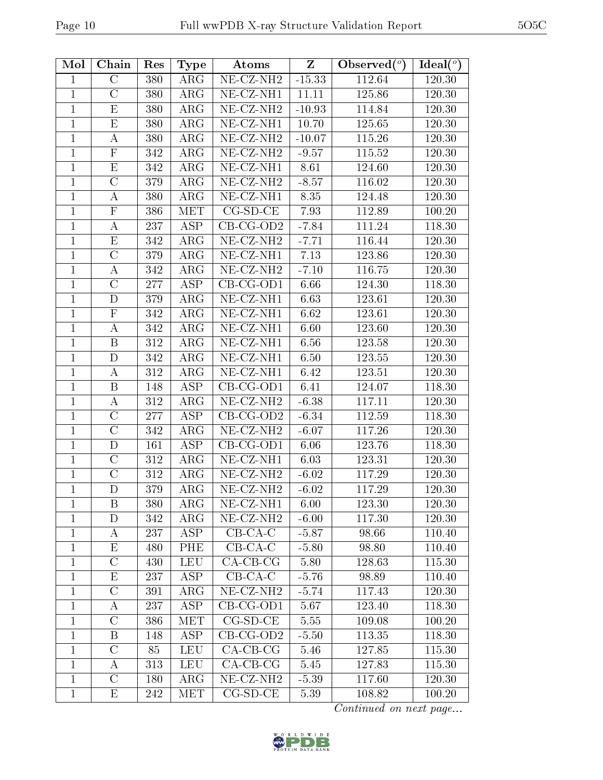| Mol            | Chain                   | Res          | Type        | Atoms                                       | $\mathbf{Z}$ | Observed $(°)$ | Ideal $(°)$ |
|----------------|-------------------------|--------------|-------------|---------------------------------------------|--------------|----------------|-------------|
| 1              | $\rm C$                 | 380          | $\rm{ARG}$  | $\overline{\text{NE- CZ-}N\text{H2}}$       | $-15.33$     | 112.64         | 120.30      |
| $\mathbf{1}$   | $\overline{C}$          | 380          | $\rm{ARG}$  | NE-CZ-NH1                                   | 11.11        | 125.86         | 120.30      |
| $\mathbf{1}$   | E                       | 380          | $\rm{ARG}$  | NE-CZ-NH <sub>2</sub>                       | $-10.93$     | 114.84         | 120.30      |
| $\mathbf{1}$   | $\overline{\mathrm{E}}$ | 380          | $\rm{ARG}$  | $NE$ -CZ-NH1                                | 10.70        | 125.65         | 120.30      |
| 1              | $\bf{A}$                | 380          | $\rm{ARG}$  | NE-CZ-NH <sub>2</sub>                       | $-10.07$     | 115.26         | 120.30      |
| $\mathbf 1$    | $\overline{\mathrm{F}}$ | 342          | $\rm{ARG}$  | NE-CZ-NH <sub>2</sub>                       | $-9.57$      | 115.52         | 120.30      |
| $\mathbf{1}$   | E                       | 342          | $\rm{ARG}$  | NE-CZ-NH1                                   | 8.61         | 124.60         | 120.30      |
| $\mathbf{1}$   | $\overline{C}$          | 379          | ARG         | NE-CZ-NH <sub>2</sub>                       | $-8.57$      | 116.02         | 120.30      |
| $\mathbf{1}$   | А                       | 380          | $\rm{ARG}$  | NE-CZ-NH1                                   | 8.35         | 124.48         | 120.30      |
| $\mathbf 1$    | ${\bf F}$               | 386          | <b>MET</b>  | $CG-SD-CE$                                  | 7.93         | 112.89         | 100.20      |
| $\mathbf{1}$   | А                       | 237          | ASP         | $CB-CG-OD2$                                 | $-7.84$      | 111.24         | 118.30      |
| $\mathbf{1}$   | $\mathbf E$             | 342          | $\rm{ARG}$  | $NE- CZ-NH2$                                | $-7.71$      | 116.44         | 120.30      |
| $\mathbf{1}$   | $\overline{C}$          | 379          | $\rm{ARG}$  | $\overline{\text{NE-CL-NH1}}$               | 7.13         | 123.86         | 120.30      |
| 1              | А                       | 342          | $\rm{ARG}$  | $NE- CZ-NH2$                                | $-7.10$      | 116.75         | 120.30      |
| $\mathbf 1$    | $\overline{C}$          | 277          | ASP         | $CB-CG-OD1$                                 | 6.66         | 124.30         | 118.30      |
| $\mathbf{1}$   | D                       | 379          | $\rm{ARG}$  | $\overline{\text{NE- CZ-NH1}}$              | 6.63         | 123.61         | 120.30      |
| $\mathbf{1}$   | $\mathbf F$             | 342          | $\rm{ARG}$  | $\overline{\text{NE-CL-NH1}}$               | 6.62         | 123.61         | 120.30      |
| $\mathbf{1}$   | $\bf{A}$                | 342          | $\rm{ARG}$  | $\overline{\text{NE-}\text{CZ-}\text{NH1}}$ | 6.60         | 123.60         | 120.30      |
| $\mathbf{1}$   | $\boldsymbol{B}$        | 312          | $\rm{ARG}$  | $NE$ - $CZ$ - $NH1$                         | 6.56         | 123.58         | 120.30      |
| 1              | D                       | 342          | $\rm{ARG}$  | NE-CZ-NH1                                   | 6.50         | 123.55         | 120.30      |
| $\mathbf{1}$   | А                       | $3\sqrt{12}$ | $\rm{ARG}$  | $\overline{\text{NE- CZ-NH1}}$              | 6.42         | 123.51         | 120.30      |
| $\mathbf{1}$   | B                       | 148          | <b>ASP</b>  | $CB-CG-OD1$                                 | 6.41         | 124.07         | 118.30      |
| $\overline{1}$ | $\boldsymbol{A}$        | 312          | $\rm{ARG}$  | $NE- CZ-NH2$                                | $-6.38$      | 117.11         | 120.30      |
| 1              | $\rm C$                 | 277          | ASP         | $CB-CG-OD2$                                 | $-6.34$      | 112.59         | 118.30      |
| $\mathbf 1$    | $\overline{C}$          | 342          | $\rm{ARG}$  | NE-CZ-NH <sub>2</sub>                       | $-6.07$      | 117.26         | 120.30      |
| $\mathbf{1}$   | D                       | 161          | <b>ASP</b>  | $CB-CG-OD1$                                 | 6.06         | 123.76         | 118.30      |
| $\mathbf{1}$   | $\overline{C}$          | 312          | $\rm{ARG}$  | NE-CZ-NH1                                   | 6.03         | 123.31         | 120.30      |
| $\mathbf{1}$   | $\overline{\rm C}$      | 312          | $\rm{ARG}$  | NE-CZ-NH <sub>2</sub>                       | $-6.02$      | 117.29         | 120.30      |
| $\mathbf{1}$   | D                       | 379          | ${\rm ARG}$ | $NE- CZ-NH2$                                | $-6.02$      | 117.29         | 120.30      |
| 1              | B                       | 380          | $\rm{ARG}$  | NE-CZ-NH1                                   | 6.00         | 123.30         | 120.30      |
| $\mathbf{1}$   | D                       | 342          | $\rm{ARG}$  | NE-CZ-NH <sub>2</sub>                       | $-6.00$      | 117.30         | 120.30      |
| $\mathbf{1}$   | A                       | 237          | <b>ASP</b>  | $CB-CA-C$                                   | $-5.87$      | 98.66          | 110.40      |
| $\mathbf 1$    | $\mathbf{E}% _{0}$      | 480          | PHE         | $CB-CA-C$                                   | $-5.80$      | 98.80          | 110.40      |
| $\mathbf{1}$   | $\mathcal{C}$           | 430          | <b>LEU</b>  | $CA-CB-CG$                                  | 5.80         | 128.63         | 115.30      |
| $\mathbf{1}$   | Ε                       | 237          | ASP         | $CB-CA-C$                                   | $-5.76$      | 98.89          | 110.40      |
| $\mathbf{1}$   | $\mathcal{C}$           | 391          | $\rm{ARG}$  | $NE- CZ-NH2$                                | $-5.74$      | 117.43         | 120.30      |
| $\mathbf{1}$   | $\bf{A}$                | 237          | <b>ASP</b>  | $CB-CG-OD1$                                 | 5.67         | 123.40         | 118.30      |
| $\mathbf{1}$   | $\overline{C}$          | 386          | MET         | $CG-SD-CE$                                  | 5.55         | 109.08         | 100.20      |
| $\mathbf{1}$   | B                       | 148          | ASP         | $CB-CG-OD2$                                 | $-5.50$      | 113.35         | 118.30      |
| $\mathbf{1}$   | $\mathcal{C}$           | 85           | <b>LEU</b>  | $CA-CB-CG$                                  | 5.46         | 127.85         | 115.30      |
| $\mathbf{1}$   | $\bf{A}$                | 313          | <b>LEU</b>  | $CA-CB-CG$                                  | 5.45         | 127.83         | 115.30      |
| $\mathbf{1}$   | $\overline{\mathrm{C}}$ | 180          | $\rm{ARG}$  | NE-CZ-NH <sub>2</sub>                       | $-5.39$      | 117.60         | 120.30      |
| $\mathbf{1}$   | E                       | 242          | MET         | $CG-SD-CE$                                  | 5.39         | 108.82         | 100.20      |

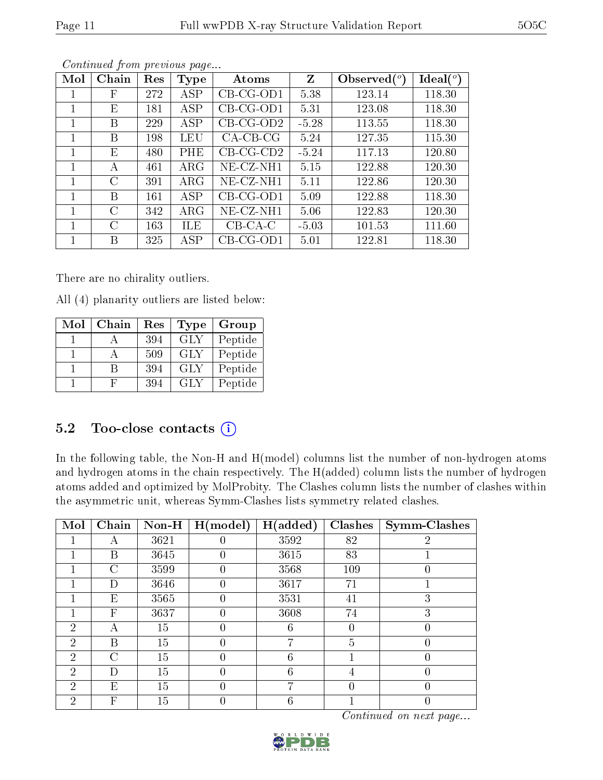| Mol | Chain | Res | <b>Type</b> | Atoms       | Z       | Observed $(°)$ | $\text{Ideal}({}^o)$ |
|-----|-------|-----|-------------|-------------|---------|----------------|----------------------|
|     | F     | 272 | ASP         | $CB-CG-OD1$ | 5.38    | 123.14         | 118.30               |
|     | Ε     | 181 | ASP         | $CB-CG-OD1$ | 5.31    | 123.08         | 118.30               |
|     | В     | 229 | ASP         | $CB-CG-OD2$ | $-5.28$ | 113.55         | 118.30               |
|     | В     | 198 | LEU         | $CA-CB-CG$  | 5.24    | 127.35         | 115.30               |
|     | Ε     | 480 | PHE         | $CB-CG-CD2$ | $-5.24$ | 117.13         | 120.80               |
|     | А     | 461 | $\rm{ARG}$  | NE-CZ-NH1   | 5.15    | 122.88         | 120.30               |
| 1   | С     | 391 | $\rm{ARG}$  | NE-CZ-NH1   | 5.11    | 122.86         | 120.30               |
| 1   | В     | 161 | ASP         | $CB-CG-OD1$ | 5.09    | 122.88         | 118.30               |
| 1   | C     | 342 | $\rm{ARG}$  | NE-CZ-NH1   | 5.06    | 122.83         | 120.30               |
|     | С     | 163 | ILE         | $CB-CA-C$   | $-5.03$ | 101.53         | 111.60               |
|     | В     | 325 | ASP         | CB-CG-OD1   | 5.01    | 122.81         | 118.30               |

There are no chirality outliers.

All (4) planarity outliers are listed below:

| Mol | Chain | Res | Type       | Group   |
|-----|-------|-----|------------|---------|
|     |       | 394 | <b>GLY</b> | Peptide |
|     |       | 509 | GLY        | Peptide |
|     |       | 394 | <b>GLY</b> | Peptide |
|     |       | 394 | GLY        | Peptide |

# 5.2 Too-close contacts  $(i)$

In the following table, the Non-H and H(model) columns list the number of non-hydrogen atoms and hydrogen atoms in the chain respectively. The H(added) column lists the number of hydrogen atoms added and optimized by MolProbity. The Clashes column lists the number of clashes within the asymmetric unit, whereas Symm-Clashes lists symmetry related clashes.

| Mol            | Chain                     | $Non-H$ | H (model) | H(added) | <b>Clashes</b> | Symm-Clashes |
|----------------|---------------------------|---------|-----------|----------|----------------|--------------|
|                | А                         | 3621    |           | 3592     | 82             | 2            |
|                | В                         | 3645    |           | 3615     | 83             |              |
|                | $\mathcal{C}$             | 3599    | 0         | 3568     | 109            | 0            |
|                | D                         | 3646    | 0         | 3617     | 71             |              |
|                | Ε                         | 3565    | 0         | 3531     | 41             | 3            |
|                | $\boldsymbol{\mathrm{F}}$ | 3637    | 0         | 3608     | 74             | 3            |
| 2              | А                         | 15      |           | 6        | 0              |              |
| $\overline{2}$ | В                         | 15      |           |          | 5              |              |
| $\overline{2}$ | C                         | 15      | 0         | 6        |                | 0            |
| 2              | D                         | 15      | O         | 6        | 4              |              |
| $\overline{2}$ | E                         | 15      | 0         |          | 0              | O            |
| $\overline{2}$ | F                         | 15      |           | 6        |                |              |



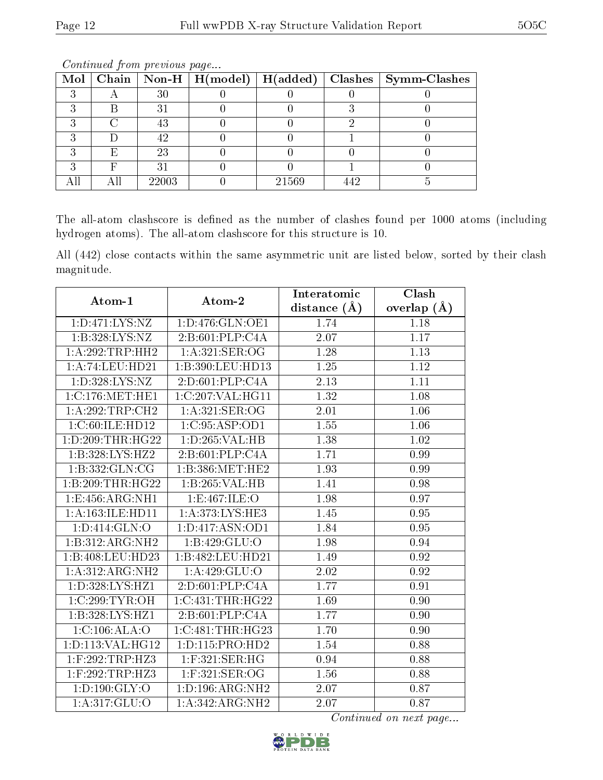|   |             |       | Mol   Chain   Non-H   H(model)   H(added)   Clashes   Symm-Clashes |
|---|-------------|-------|--------------------------------------------------------------------|
|   | 30          |       |                                                                    |
|   | $3^{\circ}$ |       |                                                                    |
|   | 43          |       |                                                                    |
|   | 42          |       |                                                                    |
| F | 23          |       |                                                                    |
|   | $3^{\circ}$ |       |                                                                    |
|   | 22003       | 21569 |                                                                    |

The all-atom clashscore is defined as the number of clashes found per 1000 atoms (including hydrogen atoms). The all-atom clashscore for this structure is 10.

All (442) close contacts within the same asymmetric unit are listed below, sorted by their clash magnitude.

| Atom-1               | Atom-2                       | Interatomic      | Clash             |
|----------------------|------------------------------|------------------|-------------------|
|                      |                              | distance $(\AA)$ | overlap $(A)$     |
| 1: D: 471: LYS: NZ   | 1: D: 476: GLN: OE1          | 1.74             | 1.18              |
| 1:B:328:LYS:NZ       | 2:B:601:PLP:C4A              | 2.07             | 1.17              |
| 1: A:292:TRP:HH2     | 1:A:321:SER:OG               | 1.28             | 1.13              |
| 1:A:74:LEU:HD21      | 1:B:390:LEU:HD13             | 1.25             | 1.12              |
| 1: D: 328: LYS: NZ   | 2:D:601:PLP:C4A              | 2.13             | 1.11              |
| 1:C:176:MET:HE1      | 1:C:207:VAL:HG11             | 1.32             | 1.08              |
| 1:A:292:TRP:CH2      | 1: A:321: SER:OG             | 2.01             | 1.06              |
| 1:C:60:ILE:HD12      | 1: C:95: ASP:OD1             | 1.55             | 1.06              |
| 1: D: 209: THR: HG22 | 1: D: 265: VAL: HB           | 1.38             | 1.02              |
| 1:B:328:LYS:HZ2      | 2:B:601:PLP:C4A              | 1.71             | 0.99              |
| 1:B:332:GLN:CG       | 1:B:386:MET:HE2              | 1.93             | 0.99              |
| 1:B:209:THR:HG22     | 1:B:265:VAL:HB               | 1.41             | 0.98              |
| 1: E: 456: ARG: NH1  | 1:E:467:ILE:O                | 1.98             | 0.97              |
| 1:A:163:ILE:HD11     | 1:A:373:LYS:HE3              | 1.45             | 0.95              |
| 1: D: 414: GLN: O    | 1: D: 417: ASN: OD1          | 1.84             | 0.95              |
| 1:B:312:ARG:NH2      | 1:B:429:GLU:O                | 1.98             | 0.94              |
| 1:B:408:LEU:HD23     | 1:B:482:LEU:HD21             | 1.49             | $\overline{0.92}$ |
| 1:A:312:ARG:NH2      | 1: A:429: GLU:O              | 2.02             | 0.92              |
| 1:D:328:LYS:HZ1      | $2:D:601:PLP:\overline{C4A}$ | 1.77             | 0.91              |
| 1:C:299:TYR:OH       | 1:C:431:THR:HG22             | 1.69             | 0.90              |
| 1:B:328:LYS:HZ1      | 2:B:601:PLP:CAA              | 1.77             | 0.90              |
| 1:C:106:ALA:O        | 1:C:481:THR:HG23             | 1.70             | 0.90              |
| 1: D: 113: VAL: HG12 | 1: D: 115: PRO: HD2          | 1.54             | 0.88              |
| $1:$ F:292:TRP:HZ3   | 1:F:321:SER:HG               | 0.94             | 0.88              |
| 1:F:292:TRP:HZ3      | 1:F:321:SER:OG               | 1.56             | 0.88              |
| 1: D: 190: GLY: O    | 1: D: 196: ARG: NH2          | 2.07             | 0.87              |
| 1: A: 317: GLU: O    | 1:A:342:ARG:NH2              | 2.07             | 0.87              |

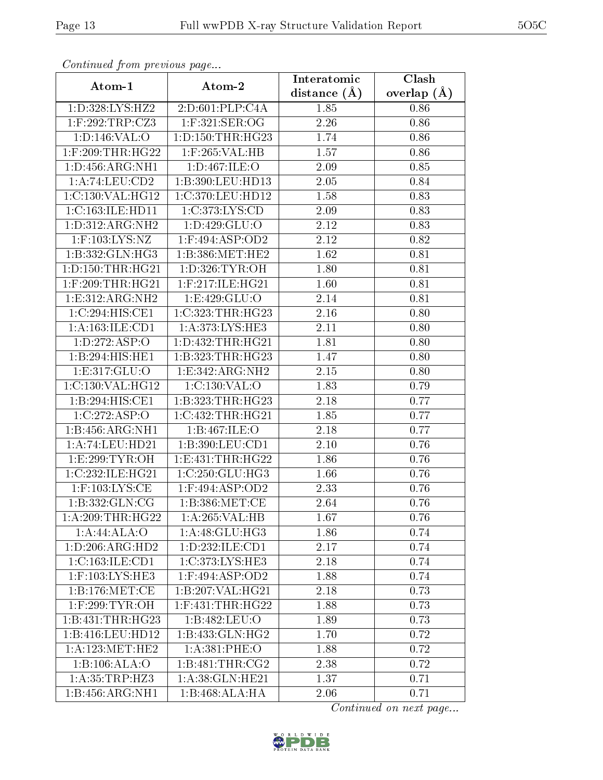| Continuea from previous page |                      | Interatomic    | Clash         |
|------------------------------|----------------------|----------------|---------------|
| Atom-1                       | Atom-2               | distance $(A)$ | overlap $(A)$ |
| 1: D: 328: LYS: HZ2          | 2:D:601:PLP:C4A      | 1.85           | 0.86          |
| $1:$ F:292:TRP:CZ3           | 1:F:321:SER:OG       | 2.26           | 0.86          |
| 1: D: 146: VAL: O            | 1: D: 150: THR: HG23 | 1.74           | 0.86          |
| 1:F:209:THR:HG22             | 1:F:265:VAL:HB       | 1.57           | 0.86          |
| 1: D: 456: ARG: NH1          | 1:D:467:ILE:O        | 2.09           | 0.85          |
| 1:A:74:LEU:CD2               | 1:B:390:LEU:HD13     | 2.05           | 0.84          |
| 1:C:130:VAL:HG12             | 1:C:370:LEU:HD12     | 1.58           | 0.83          |
| 1:C:163:ILE:HD11             | 1:C:373:LYS:CD       | 2.09           | 0.83          |
| 1:D:312:ARG:NH2              | 1:D:429:GLU:O        | 2.12           | 0.83          |
| $1:$ F:103:LYS:NZ            | $1:$ F:494:ASP:OD2   | 2.12           | 0.82          |
| 1:B:332:GLN:HG3              | 1:B:386:MET:HE2      | 1.62           | 0.81          |
| 1: D: 150: THR: HG21         | 1:D:326:TYR:OH       | 1.80           | 0.81          |
| $1:$ F:209:THR:HG21          | 1:F:217:ILE:HG21     | 1.60           | 0.81          |
| 1: E: 312: ARG: NH2          | 1:E:429:GLU:O        | 2.14           | 0.81          |
| 1:C:294:HIS:CE1              | 1:C:323:THR:HG23     | 2.16           | 0.80          |
| 1:A:163:ILE:CD1              | 1:A:373:LYS:HE3      | 2.11           | 0.80          |
| 1: D: 272: ASP: O            | 1: D: 432: THR: HG21 | 1.81           | 0.80          |
| 1:B:294:HIS:HE1              | 1:B:323:THR:HG23     | 1.47           | 0.80          |
| 1:E:317:GLU:O                | 1:E:342:ARG:NH2      | 2.15           | 0.80          |
| 1:C:130:VAL:HG12             | 1:C:130:VAL:O        | 1.83           | 0.79          |
| 1:B:294:HIS:CE1              | 1:B:323:THR:HG23     | 2.18           | 0.77          |
| 1:C:272:ASP:O                | 1:C:432:THR:HG21     | 1.85           | 0.77          |
| $1:B:456:ARG:\overline{NH1}$ | 1:B:467:ILE:O        | 2.18           | 0.77          |
| 1:A:74:LEU:HD21              | 1:B:390:LEU:CD1      | $2.10\,$       | 0.76          |
| 1:E:299:TYR:OH               | 1:E:431:THR:HG22     | 1.86           | 0.76          |
| 1:C:232:ILE:HG21             | 1:C:250:CLU:HG3      | 1.66           | 0.76          |
| $1:$ F:103:LYS:CE            | $1:$ F:494:ASP:OD2   | 2.33           | 0.76          |
| 1:B:332:GLN:CG               | 1: B: 386: MET:CE    | 2.64           | 0.76          |
| 1: A:209:THR:HG22            | 1:A:265:VAL:H B      | 1.67           | 0.76          |
| 1:A:44:ALA:O                 | 1: A:48: GLU:HG3     | 1.86           | 0.74          |
| 1: D: 206: ARG: HD2          | 1:D:232:ILE:CD1      | 2.17           | 0.74          |
| 1:C:163:ILE:CD1              | 1:C:373:LYS:HE3      | 2.18           | 0.74          |
| $1:$ F:103:LYS:HE3           | $1:$ F:494:ASP:OD2   | 1.88           | 0.74          |
| 1: B: 176: MET:CE            | 1:B:207:VAL:HG21     | 2.18           | 0.73          |
| $1:$ F:299:TYR:OH            | $1:$ F:431:THR:HG22  | 1.88           | 0.73          |
| 1:B:431:THR:HG23             | 1:B:482:LEU:O        | 1.89           | 0.73          |
| 1:B:416:LEU:HD12             | 1:B:433:GLN:HG2      | 1.70           | 0.72          |
| 1: A:123:MET:HE2             | 1: A:381:PHE:O       | 1.88           | 0.72          |
| 1:B:106:ALA:O                | 1: B:481:THR:CG2     | 2.38           | 0.72          |
| 1: A: 35: TRP: HZ3           | 1: A:38: GLN: HE21   | 1.37           | 0.71          |
| 1:B:456:ARG:NH1              | 1:B:468:ALA:HA       | 2.06           | 0.71          |

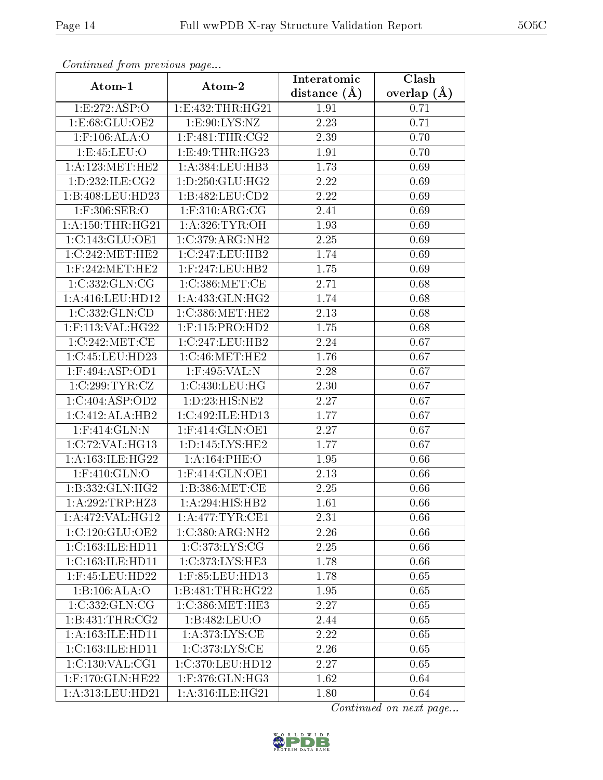| Continuatu from previous page |                                         | Interatomic    | $\overline{\text{Clash}}$ |
|-------------------------------|-----------------------------------------|----------------|---------------------------|
| Atom-1                        | Atom-2                                  | distance $(A)$ | overlap $(\AA)$           |
| 1:E:272:ASP:O                 | 1:E:432:THR:HG21                        | 1.91           | 0.71                      |
| 1: E:68: GLU:OE2              | 1: E:90: LYS: NZ                        | 2.23           | 0.71                      |
| $1:$ F:106:ALA:O              | $1:$ F:481:THR:CG2                      | 2.39           | 0.70                      |
| 1:E:45:LEU:O                  | 1:E:49:THR:HG23                         | 1.91           | 0.70                      |
| 1: A: 123: MET: HE2           | 1:A:384:LEU:HB3                         | 1.73           | 0.69                      |
| 1: D: 232: ILE: CG2           | 1: D: 250: GLU: HG2                     | 2.22           | 0.69                      |
| 1:B:408:LEU:HD23              | 1:B:482:LEU:CD2                         | 2.22           | 0.69                      |
| 1:F:306:SER:O                 | $1:$ F:310:ARG:CG                       | 2.41           | 0.69                      |
| 1: A: 150: THR: HG21          | 1: A:326: TYR:OH                        | 1.93           | 0.69                      |
| 1:C:143:GLU:OE1               | 1:C:379:ARG:NH2                         | 2.25           | 0.69                      |
| 1:C:242:MET:HE2               | 1:C:247:LEU:HB2                         | 1.74           | 0.69                      |
| $1:$ F:242:MET:HE2            | $1:$ F:247:LEU:HB2                      | 1.75           | 0.69                      |
| 1:C:332:GLN:CG                | 1:C:386:MET:CE                          | 2.71           | 0.68                      |
| 1: A: 416: LEU: HD12          | 1: A: 433: GLN: HG2                     | 1.74           | 0.68                      |
| 1:C:332:GLN:CD                | 1:C:386:MET:HE2                         | 2.13           | 0.68                      |
| 1:F:113:VAL:HG22              | $1:$ F:115:PRO:HD2                      | 1.75           | 0.68                      |
| 1:C:242:MET:CE                | 1:C:247:LEU:HB2                         | 2.24           | 0.67                      |
| 1:C:45:LEU:HD23               | 1:C:46:MET:HE2                          | 1.76           | 0.67                      |
| $1:$ F:494:ASP:OD1            | 1:F:495:VAL:N                           | 2.28           | 0.67                      |
| 1:C:299:TYR:CZ                | 1:C:430:LEU:HG                          | 2.30           | 0.67                      |
| 1:C:404:ASP:OD2               | 1: D: 23: HIS: NE2                      | 2.27           | 0.67                      |
| 1:C:412:ALA:HB2               | 1:C:492:ILE:HD13                        | 1.77           | 0.67                      |
| $1:$ F:414:GLN:N              | $1:$ F:414:GLN:OE1                      | 2.27           | 0.67                      |
| 1:C:72:VAL:HG13               | 1: D: 145: LYS: HE2                     | 1.77           | 0.67                      |
| 1: A:163: ILE: HG22           | 1:A:164:PHE:O                           | 1.95           | 0.66                      |
| 1:F:410:GLN:O                 | $1:$ F:414:GLN:OE1                      | 2.13           | 0.66                      |
| 1:B:332:GLN:HG2               | 1: B: 386: MET:CE                       | 2.25           | 0.66                      |
| 1:A:292:TRP:HZ3               | $1:A:294:\overline{HIS:HB2}$            | 1.61           | 0.66                      |
| 1:A:472:VAL:HG12              | 1: A:477:TYR:CE1                        | 2.31           | 0.66                      |
| 1:C:120:GLU:OE2               | 1:C:380:ARG:NH2                         | 2.26           | 0.66                      |
| 1:C:163:ILE:H <sub>D11</sub>  | 1:C:373:LYS:CG                          | 2.25           | 0.66                      |
| 1:C:163:ILE:HD11              | 1:C:373:LYS:HE3                         | 1.78           | 0.66                      |
| $1:$ F:45:LEU:HD22            | 1:F:85:LEU:HD13                         | 1.78           | 0.65                      |
| 1:B:106:ALA:O                 | 1:B:481:THR:HG22                        | 1.95           | 0.65                      |
| 1:C:332:GLN:CG                | $1:C:386:MET:H\overline{E3}$            | 2.27           | 0.65                      |
| 1: B:431:THR:CG2              | 1:B:482:LEU:O                           | 2.44           | 0.65                      |
| 1:A:163:ILE:HD11              | 1: A:373: LYS: CE                       | 2.22           | 0.65                      |
| 1:C:163:ILE:HD11              | 1:C:373:LYS:CE                          | 2.26           | 0.65                      |
| 1:C:130:VAL:CG1               | 1:C:370:LEU:HD12                        | 2.27           | 0.65                      |
| 1:F:170:GLN:HE22              | $1:$ F:376:GLN:H $\overline{\text{G3}}$ | 1.62           | 0.64                      |
| 1: A:313: LEU: HD21           | 1: A:316: ILE: HG21                     | 1.80           | 0.64                      |

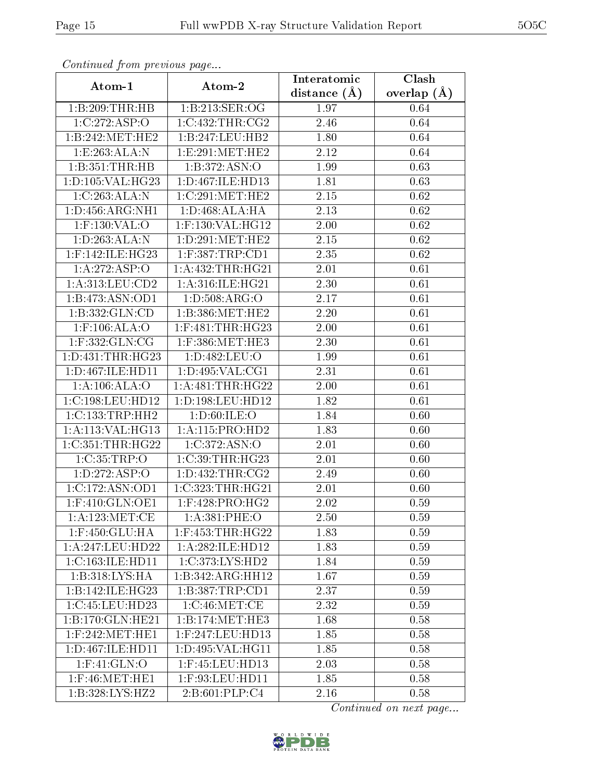| Communa from previous page              |                      | Interatomic      | Clash           |
|-----------------------------------------|----------------------|------------------|-----------------|
| Atom-1                                  | Atom-2               | distance $(\AA)$ | overlap $(\AA)$ |
| 1:B:209:THR:HB                          | 1:B:213:SER:OG       | 1.97             | 0.64            |
| 1:C:272:ASP:O                           | 1:C:432:THR:CG2      | 2.46             | 0.64            |
| 1:B:242:MET:HE2                         | 1:B:247:LEU:HB2      | 1.80             | 0.64            |
| 1:E:263:ALA:N                           | 1:E:291:MET:HE2      | 2.12             | 0.64            |
| 1:B:351:THR:HB                          | 1:B:372:ASN:O        | 1.99             | 0.63            |
| 1: D: 105: VAL: HG23                    | 1: D: 467: ILE: HD13 | 1.81             | 0.63            |
| 1:C:263:ALA:N                           | 1:C:291:MET:HE2      | 2.15             | 0.62            |
| 1: D: 456: ARG: NH1                     | 1: D:468:ALA:HA      | 2.13             | 0.62            |
| 1:F:130:VAL:O                           | $1:$ F:130:VAL:HG12  | 2.00             | 0.62            |
| 1: D: 263: ALA: N                       | 1:D:291:MET:HE2      | 2.15             | 0.62            |
| $1:$ F:142:ILE:HG23                     | $1:$ F:387:TRP:CD1   | 2.35             | 0.62            |
| 1:A:272:ASP:O                           | 1: A: 432: THR: HG21 | 2.01             | 0.61            |
| 1:A:313:LEU:CD2                         | 1:A:316:ILE:HG21     | 2.30             | 0.61            |
| 1:B:473:ASN:OD1                         | 1: D: 508: ARG: O    | 2.17             | 0.61            |
| 1:B:332:GLN:CD                          | 1:B:386:MET:HE2      | 2.20             | 0.61            |
| $1:$ F:106:ALA:O                        | 1:F:481:THR:HG23     | 2.00             | 0.61            |
| 1:F:332:GLN:CG                          | $1:$ F:386:MET:HE3   | 2.30             | 0.61            |
| 1: D: 431: THR: HG23                    | 1:D:482:LEU:O        | 1.99             | 0.61            |
| 1:D:467:ILE:HD11                        | 1: D: 495: VAL: CG1  | 2.31             | 0.61            |
| 1: A:106: ALA:O                         | 1: A: 481: THR: HG22 | 2.00             | 0.61            |
| 1:C:198:LEU:HD12                        | 1:D:198:LEU:HD12     | 1.82             | 0.61            |
| 1:C:133:TRP:HH2                         | 1: D:60: ILE: O      | 1.84             | 0.60            |
| 1:A:113:VAL:HG13                        | 1:A:115:PRO:HD2      | 1.83             | 0.60            |
| 1:C:351:THR:HG22                        | 1:C:372:ASN:O        | 2.01             | 0.60            |
| 1:C:35:TRP:O                            | 1:C:39:THR:HG23      | 2.01             | 0.60            |
| 1: D: 272: ASP:O                        | 1: D: 432: THR: CG2  | 2.49             | 0.60            |
| 1:C:172:ASN:OD1                         | 1:C:323:THR:HG21     | 2.01             | 0.60            |
| $1:$ F:410:GL $\overline{\text{N:OF1}}$ | $1:$ F:428:PRO:HG2   | 2.02             | 0.59            |
| 1: A: 123: MET:CE                       | 1:A:381:PHE:O        | 2.50             | 0.59            |
| 1:F:450:GLU:HA                          | $1:$ F:453:THR:HG22  | 1.83             | 0.59            |
| 1:A:247:LEU:HD22                        | 1:A:282:ILE:HD12     | 1.83             | 0.59            |
| 1:C:163:ILE:HD11                        | 1:C:373:LYS:HD2      | 1.84             | 0.59            |
| 1:B:318:LYS:HA                          | 1:B:342:ARG:HH12     | 1.67             | 0.59            |
| 1:B:142:ILE:HG23                        | 1:B:387:TRP:CD1      | 2.37             | 0.59            |
| 1:C:45:LEU:HD23                         | 1:C:46:MET:CE        | 2.32             | 0.59            |
| 1:B:170:GLN:HE21                        | 1:B:174:MET:HE3      | 1.68             | 0.58            |
| $1:$ F:242:MET:HE1                      | $1:$ F:247:LEU:HD13  | 1.85             | 0.58            |
| 1:D:467:ILE:HD11                        | 1:D:495:VAL:HG11     | 1.85             | 0.58            |
| 1:F:41:GLN:O                            | $1:$ F:45:LEU:HD13   | 2.03             | 0.58            |
| $1:$ F:46:MET:HE1                       | $1:$ F:93:LEU:HD11   | 1.85             | 0.58            |
| 1:B:328:LYS:HZ2                         | 2:B:601:PLP:C4       | 2.16             | 0.58            |

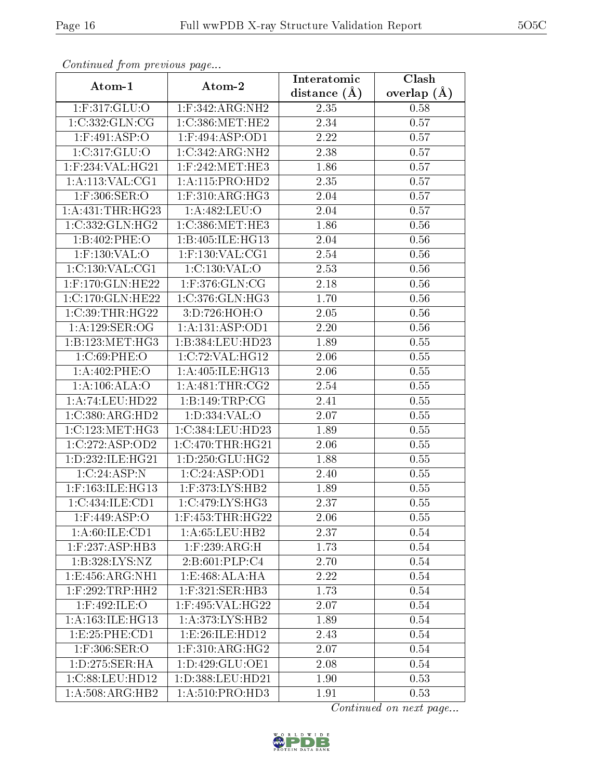| Continuea from previous page |                                       | Interatomic       | Clash         |
|------------------------------|---------------------------------------|-------------------|---------------|
| Atom-1                       | Atom-2                                | distance $(\AA)$  | overlap $(A)$ |
| 1:F:317:GLU:O                | $1:$ F:342:ARG:NH2                    | 2.35              | 0.58          |
| 1:C:332:GLN:CG               | 1:C:386:MET:HE2                       | 2.34              | 0.57          |
| $1:$ F:491:ASP:O             | $1:$ F:494:ASP:OD1                    | 2.22              | 0.57          |
| 1:C:317:GLU:O                | 1:C:342:ARG:NH2                       | 2.38              | 0.57          |
| $1:$ F:234:VAL:HG21          | $1:$ F:242:MET:HE3                    | 1.86              | 0.57          |
| 1: A: 113: VAL: CG1          | 1:A:115:PRO:HD2                       | 2.35              | 0.57          |
| 1:F:306:SER:O                | $1:$ F:310:ARG:HG3                    | 2.04              | 0.57          |
| 1: A: 431:THR: HG23          | 1:A:482:LEU:O                         | 2.04              | 0.57          |
| 1:C:332:CLN:HG2              | 1:C:386:MET:HE3                       | 1.86              | 0.56          |
| 1:B:402:PHE:O                | 1:B:405:ILE:HG13                      | 2.04              | 0.56          |
| $1:$ F:130:VAL:O             | 1:F:130:VAL:CG1                       | 2.54              | 0.56          |
| 1:C:130:VAL:CG1              | 1:C:130:VAL:O                         | 2.53              | 0.56          |
| 1:F:170:GLN:HE22             | 1:F:376:GLN:CG                        | 2.18              | 0.56          |
| 1:C:170:GLN:HE22             | 1:C:376:GLN:HG3                       | 1.70              | 0.56          |
| 1:C:39:THR:HG22              | 3:D:726:HOH:O                         | 2.05              | 0.56          |
| 1:A:129:SER:OG               | 1:A:131:ASP:OD1                       | 2.20              | $0.56\,$      |
| 1:B:123:MET:HG3              | 1:B:384:LEU:HD23                      | 1.89              | 0.55          |
| 1:C:69:PHE:O                 | 1:C:72:VAL:HG12                       | 2.06              | 0.55          |
| 1:A:402:PHE:O                | 1:A:405:ILE:HG13                      | 2.06              | 0.55          |
| 1:A:106:ALA:O                | 1: A:481:THR:CG2                      | 2.54              | 0.55          |
| 1:A:74:LEU:HD22              | 1:B:149:TRP:CG                        | $\overline{2.41}$ | 0.55          |
| 1:C:380:ARG:HD2              | 1: D: 334: VAL: O                     | 2.07              | 0.55          |
| $1:C:123:ME\overline{T:HG3}$ | 1:C:384:LEU:HD23                      | 1.89              | 0.55          |
| 1:C:272:ASP:OD2              | 1:C:470:THR:HG21                      | 2.06              | 0.55          |
| 1:D:232:ILE:HG21             | 1: D: 250: GLU: HG2                   | 1.88              | 0.55          |
| 1:C:24:ASP:N                 | 1:C:24:ASP:OD1                        | 2.40              | 0.55          |
| $1:$ F:163:ILE:HG13          | 1:F:373:LYS:HB2                       | 1.89              | 0.55          |
| 1:C:434:ILE:CD1              | 1:C:479:LYS:HG3                       | 2.37              | 0.55          |
| $1:$ F:449:ASP:O             | $1:$ F:453:THR:HG22                   | 2.06              | 0.55          |
| 1:A:60:ILE:CD1               | 1: A:65:LEU:HB2                       | 2.37              | 0.54          |
| $1:$ F:237:ASP:HB3           | $1:$ F:239: $\overline{\text{ARG:H}}$ | 1.73              | 0.54          |
| 1:B:328:LYS:NZ               | 2: B:601:PLP:C4                       | 2.70              | 0.54          |
| 1: E: 456: ARG: NH1          | 1:E:468:ALA:HA                        | 2.22              | 0.54          |
| $1:$ F:292:TRP:HH2           | 1:F:321:SER:HB3                       | 1.73              | 0.54          |
| $1:$ F:492:ILE:O             | $1:$ F:495:VAL:HG22                   | 2.07              | 0.54          |
| 1: A:163: ILE:HG13           | 1: A:373: LYS: HB2                    | 1.89              | 0.54          |
| 1: E: 25: PHE: CD1           | 1: E:26: ILE: HD12                    | 2.43              | 0.54          |
| $1:$ F:306:SER:O             | $1:$ F:310:ARG:HG2                    | 2.07              | 0.54          |
| 1: D: 275: SER: HA           | 1: D: 429: GLU: OE1                   | 2.08              | 0.54          |
| 1:C:88:LEU:HD12              | 1:D:388:LEU:HD21                      | 1.90              | 0.53          |
| 1: A:508:ARG:HB2             | 1: A:510: PRO:HD3                     | 1.91              | 0.53          |

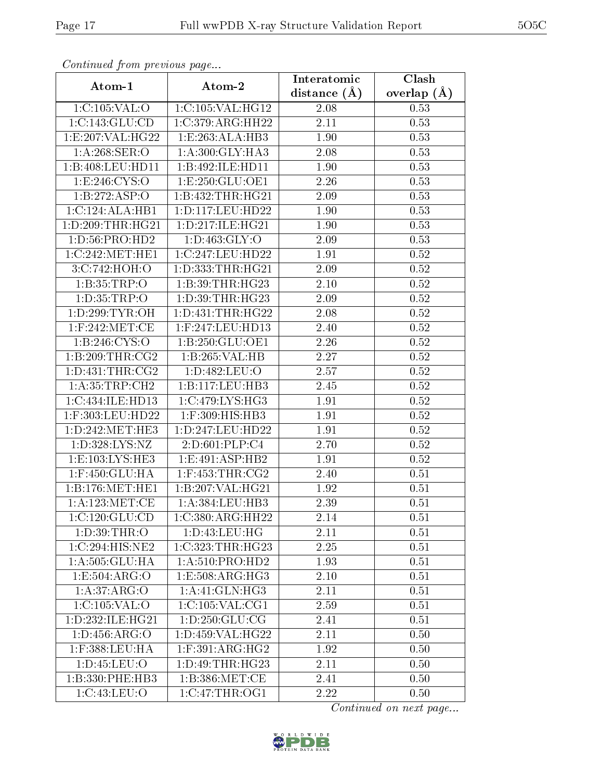| Continuatu from previous page  |                                     | Interatomic       | $\overline{\text{Clash}}$ |  |
|--------------------------------|-------------------------------------|-------------------|---------------------------|--|
| Atom-1                         | Atom-2                              | distance $(\AA)$  | overlap $(A)$             |  |
| 1:C:105:VAL:O                  | 1:C:105:VAL:HG12                    | 2.08              | 0.53                      |  |
| 1:C:143:GLU:CD                 | 1:C:379:ARG:HH22                    | 2.11              | 0.53                      |  |
| 1:E:207:VAL:HG22               | 1:E:263:ALA:HB3                     | 1.90              | 0.53                      |  |
| 1: A:268: SER:O                | 1: A:300: GLY:HA3                   | 2.08              | 0.53                      |  |
| 1:B:408:LEU:HD11               | 1:B:492:ILE:HD11                    | 1.90              | 0.53                      |  |
| 1: E:246: CYS:O                | 1:E:250:GLU:OE1                     | 2.26              | 0.53                      |  |
| 1:B:272:ASP:O                  | 1:B:432:THR:HG21                    | 2.09              | 0.53                      |  |
| 1:C:124:ALA:HB1                | 1: D: 117: LEU: HD22                | 1.90              | 0.53                      |  |
| 1:D:209:THR:HG21               | 1: D: 217: ILE: HG21                | $\overline{1}.90$ | 0.53                      |  |
| 1: D: 56: PRO: HD2             | 1: D:463: GLY:O                     | 2.09              | 0.53                      |  |
| 1:C:242:MET:HE1                | 1:C:247:LEU:HD22                    | 1.91              | $0.52\,$                  |  |
| 3:C:742:HOH:O                  | 1:D:333:THR:HG21                    | 2.09              | 0.52                      |  |
| 1:B:35:TRP:O                   | 1:B:39:THR:HG23                     | 2.10              | 0.52                      |  |
| 1: D: 35: TRP:O                | 1: D:39: THR: HG23                  | 2.09              | 0.52                      |  |
| $1: D:299: TYR: \overline{OH}$ | 1: D: 431: THR: HG22                | 2.08              | 0.52                      |  |
| $1:$ F:242:MET:CE              | 1:F:247:LEU:HD13                    | 2.40              | 0.52                      |  |
| 1: B:246: CYS:O                | 1:B:250:GLU:OE1                     | 2.26              | 0.52                      |  |
| 1:B:209:THR:CG2                | 1:B:265:VAL:HB                      | 2.27              | 0.52                      |  |
| 1: D: 431: THR: CG2            | 1: D:482: LEU:O                     | 2.57              | 0.52                      |  |
| 1:A:35:TRP:CH2                 | 1:B:117:LEU:HB3                     | 2.45              | 0.52                      |  |
| 1:C:434:ILE:HD13               | $1:C:479:\overline{\text{LYS:HG3}}$ | 1.91              | 0.52                      |  |
| $1:$ F:303:LEU:HD22            | $1:$ F:309:HIS:HB3                  | 1.91              | 0.52                      |  |
| 1: D: 242: MET: HE3            | 1: D: 247: LEU: HD22                | 1.91              | 0.52                      |  |
| 1:D:328:LYS:NZ                 | 2:D:601:PLP:C4                      | 2.70              | $0.52\,$                  |  |
| 1: E: 103: LYS: HE3            | 1: E:491: ASP:HB2                   | 1.91              | 0.52                      |  |
| 1:F:450:GLU:HA                 | $1:$ F:453:THR:CG2                  | 2.40              | 0.51                      |  |
| 1: B: 176: MET: HE1            | 1:B:207:VAL:HG21                    | 1.92              | 0.51                      |  |
| 1: A: 123: MET:CE              | 1:A:384:LEU:HB3                     | 2.39              | 0.51                      |  |
| 1:C:120:GLU:CD                 | 1:C:380:ARG:HH22                    | 2.14              | 0.51                      |  |
| 1: D:39:THR:O                  | 1: D: 43: LEU: HG                   | 2.11              | 0.51                      |  |
| 1:C:294:HIS:NE2                | 1:C:323:THR:HG23                    | 2.25              | 0.51                      |  |
| 1: A: 505: GLU: HA             | 1: A:510: PRO:HD2                   | 1.93              | 0.51                      |  |
| 1:E:504:ARG:O                  | 1:E:508:ARG:HG3                     | 2.10              | 0.51                      |  |
| 1:A:37:ARG:O                   | 1:A:41:GLN:HG3                      | 2.11              | 0.51                      |  |
| 1:C:105:VAL:O                  | 1:C:105:VAL:CG1                     | 2.59              | 0.51                      |  |
| 1: D: 232: ILE: HG21           | 1: D: 250: GLU: CG                  | 2.41              | 0.51                      |  |
| 1: D: 456: ARG: O              | 1:D:459:VAL:HG22                    | 2.11              | 0.50                      |  |
| 1:F:388:LEU:HA                 | 1:F:391:ARG:HG2                     | 1.92              | 0.50                      |  |
| 1: D: 45: LEU: O               | 1: D: 49: THR: HG23                 | 2.11              | 0.50                      |  |
| 1:B:330:PHE:HB3                | 1: B: 386: MET:CE                   | 2.41              | 0.50                      |  |
| 1:C:43:LEU:O                   | 1:C:47:THR:OG1                      | 2.22              | 0.50                      |  |

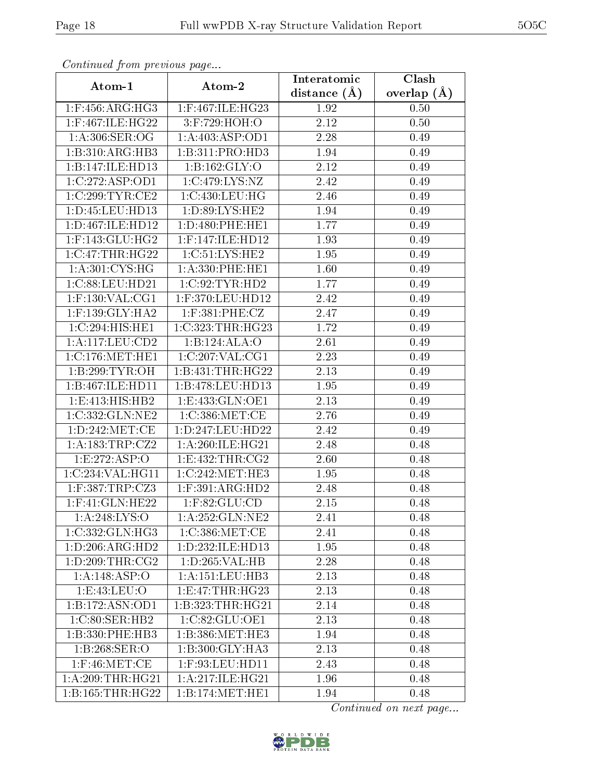| Continuea from previous page      |                                       | Interatomic    | Clash         |
|-----------------------------------|---------------------------------------|----------------|---------------|
| Atom-1                            | Atom-2                                | distance $(A)$ | overlap $(A)$ |
| $1:$ F:456:ARG:HG3                | $1:$ F:467:ILE:HG23                   | 1.92           | 0.50          |
| 1:F:467:ILE:HG22                  | 3:F:729:HOH:O                         | 2.12           | 0.50          |
| 1:A:306:SER:OG                    | 1:A:403:ASP:OD1                       | 2.28           | 0.49          |
| 1:B:310:ARG:HB3                   | 1:B:311:PRO:HD3                       | 1.94           | 0.49          |
| 1:B:147:ILE:HD13                  | 1: B: 162: GLY: O                     | 2.12           | 0.49          |
| 1:C:272:ASP:OD1                   | 1:C:479:LYS:NZ                        | 2.42           | 0.49          |
| 1:C:299:TYR:CE2                   | 1:C:430:LEU:HG                        | 2.46           | 0.49          |
| 1: D: 45: LEU: HD13               | 1: D:89: LYS: HE2                     | 1.94           | 0.49          |
| 1:D:467:ILE:HD12                  | 1: D: 480: PHE: HE1                   | 1.77           | 0.49          |
| $1:$ F:143:GLU:HG2                | $1:$ F:147:ILE:HD12                   | 1.93           | 0.49          |
| $1:C:47$ : THR: HG22              | 1:C:51:LYS:HE2                        | 1.95           | 0.49          |
| 1: A:301: CYS:HG                  | 1:A:330:PHE:HE1                       | 1.60           | 0.49          |
| 1:C:88:LEU:HD21                   | 1:C:92:TYR:HD2                        | 1.77           | 0.49          |
| $1:$ F:130:VAL:CG1                | 1:F:370:LEU:HD12                      | 2.42           | 0.49          |
| $1:$ F:139:GLY:HA2                | $1:$ F:381:PHE:CZ                     | 2.47           | 0.49          |
| 1:C:294:HIS:HE1                   | 1:C:323:THR:HG23                      | 1.72           | 0.49          |
| 1: A: 117: LEU: CD2               | 1:B:124:ALA:O                         | 2.61           | 0.49          |
| 1:C:176:MET:HE1                   | 1:C:207:VAL:CG1                       | 2.23           | 0.49          |
| 1:B:299:TYR:OH                    | 1:B:431:THR:HG22                      | 2.13           | 0.49          |
| 1:B:467:ILE:HD11                  | 1:B:478:LEU:HD13                      | $1.95\,$       | 0.49          |
| 1:E:413:HIS:HB2                   | 1:E:433:GLN:OE1                       | 2.13           | 0.49          |
| 1:C:332:GLN:NE2                   | 1:C:386:MET:CE                        | 2.76           | 0.49          |
| 1: D: 242: MET:CE                 | 1:D:247:LEU:HD22                      | 2.42           | 0.49          |
| 1:A:183:TRP:CZ2                   | 1: A:260: ILE: HG21                   | 2.48           | 0.48          |
| 1:E:272:ASP:O                     | 1:E:432:THR:CG2                       | 2.60           | 0.48          |
| 1:C:234:VAL:HG11                  | 1:C:242:MET:HE3                       | 1.95           | 0.48          |
| $1:$ F:387:TRP:CZ3                | $1:$ F:391:ARG:HD2                    | 2.48           | 0.48          |
| $1:$ F:41:GLN:HE22                | $1:$ F:82:GL $\overline{\text{U:CD}}$ | 2.15           | 0.48          |
| 1: A:248: LYS:O                   | 1:A:252:GLN:NE2                       | 2.41           | 0.48          |
| 1:C:332:GLN:HG3                   | 1:C:386:MET:CE                        | 2.41           | 0.48          |
| 1: D: 206: ARG: HD2               | 1: D: 232: ILE: HD13                  | 1.95           | 0.48          |
| 1: D:209:THR:CG2                  | 1: D: 265: VAL: HB                    | 2.28           | 0.48          |
| 1:A:148:ASP:O                     | 1: A: 151: LEU: HB3                   | 2.13           | 0.48          |
| 1:E:43:LEU:O                      | 1:E:47:THR:HG23                       | 2.13           | 0.48          |
| 1:B:172:ASN:OD1                   | 1:B:323:THR:HG21                      | 2.14           | 0.48          |
| 1:C:80:SER:HB2                    | 1:C:82:GLU:OE1                        | 2.13           | 0.48          |
| 1:B:330:PHE:HB3                   | 1:B:386:MET:HE3                       | 1.94           | 0.48          |
| $1:B:268:\overline{\text{SER}:O}$ | 1:B:300:GLY:HA3                       | 2.13           | 0.48          |
| $1:$ F:46:MET:CE                  | $1:$ F:93:LEU:HD11                    | 2.43           | 0.48          |
| 1: A:209:THR:HG21                 | 1: A:217: ILE: HG21                   | 1.96           | 0.48          |
| 1:B:165:THR:HG22                  | 1:B:174:MET:HE1                       | 1.94           | 0.48          |

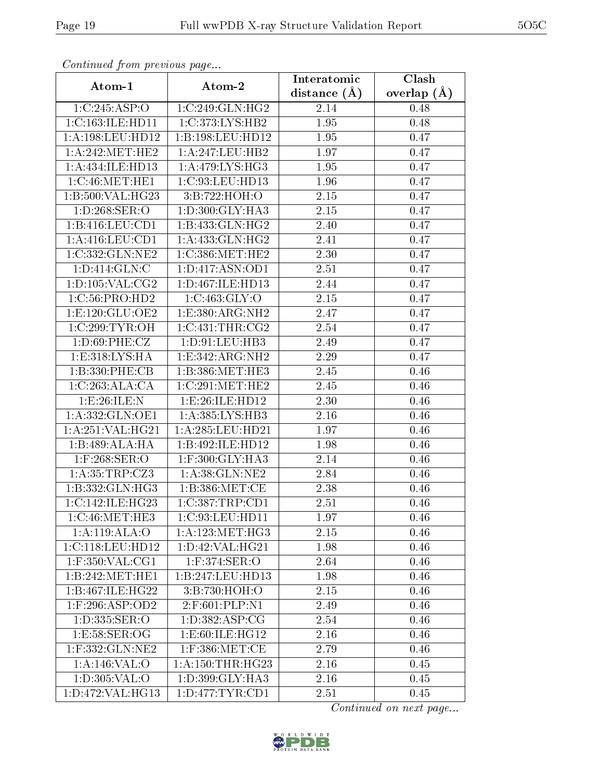| Continuati pont previous page       |                                 | Interatomic      | Clash           |  |
|-------------------------------------|---------------------------------|------------------|-----------------|--|
| Atom-1                              | Atom-2                          | distance $(\AA)$ | overlap $(\AA)$ |  |
| 1:C:245:ASP:O                       | 1:C:249:GLN:HG2                 | 2.14             | 0.48            |  |
| 1:C:163:ILE:HD11                    | 1:C:373:LYS:HB2                 | 1.95             | 0.48            |  |
| 1: A: 198: LEU: HD12                | 1:B:198:LEU:HD12                | 1.95             | 0.47            |  |
| 1: A:242: MET:HE2                   | 1: A:247:LEU:HB2                | 1.97             | 0.47            |  |
| 1:A:434:ILE:HD13                    | 1: A:479: LYS: HG3              | 1.95             | 0.47            |  |
| 1:C:46:MET:HE1                      | 1:C:93:LEU:HD13                 | 1.96             | 0.47            |  |
| 1:B:500:VAL:HG23                    | 3:B:722:HOH:O                   | 2.15             | 0.47            |  |
| 1: D:268: SER:O                     | 1:D:300:GLY:HA3                 | 2.15             | 0.47            |  |
| 1:B:416:LEU:CD1                     | 1:B:433:GLN:HG2                 | 2.40             | 0.47            |  |
| 1: A: 416: LEU: CD1                 | 1: A: 433: GLN: HG2             | 2.41             | 0.47            |  |
| 1:C:332:GLN:NE2                     | 1:C:386:MET:HE2                 | 2.30             | 0.47            |  |
| 1: D: 414: GLN: C                   | $1: D: 417: \overline{ASN:OD1}$ | 2.51             | 0.47            |  |
| 1: D: 105: VAL: CG2                 | 1:D:467:ILE:HD13                | 2.44             | 0.47            |  |
| 1:C:56:PRO:HD2                      | 1:C:463:GLY:O                   | 2.15             | 0.47            |  |
| 1: E: 120: GLU: OE2                 | 1:E:380:ARG:NH2                 | 2.47             | 0.47            |  |
| 1:C:299:TYR:OH                      | 1:C:431:THR:CG2                 | 2.54             | 0.47            |  |
| 1: D:69: PHE: CZ                    | 1:D:91:LEU:HB3                  | 2.49             | 0.47            |  |
| 1: E:318: LYS: HA                   | 1:E:342:ARG:NH2                 | 2.29             | 0.47            |  |
| 1:B:330:PHE:CB                      | 1:B:386:MET:HE3                 | 2.45             | 0.46            |  |
| 1:C:263:ALA:CA                      | 1:C:291:MET:HE2                 | 2.45             | 0.46            |  |
| 1:E:26:ILE:N                        | 1:E:26:ILE:HD12                 | 2.30             | 0.46            |  |
| 1:A:332:GLN:OE1                     | 1: A:385:LYS:HB3                | 2.16             | 0.46            |  |
| 1:A:251:VAL:HG21                    | 1: A:285:LEU:HD21               | 1.97             | 0.46            |  |
| 1:B:489:ALA:HA                      | 1:B:492:ILE:HD12                | 1.98             | 0.46            |  |
| $1:$ F:268:SER:O                    | 1:F:300:GLY:HA3                 | 2.14             | 0.46            |  |
| 1:A:35:TRP:CZ3                      | 1: A:38: GLN: NE2               | 2.84             | 0.46            |  |
| 1:B:332:GLN:HG3                     | 1: B: 386: MET:CE               | 2.38             | 0.46            |  |
| $1:C:142:\overline{\text{LE:HG23}}$ | 1:C:387:TRP:CD1                 | 2.51             | 0.46            |  |
| 1:C:46:MET:HE3                      | 1:C:93:LEU:HDI1                 | 1.97             | 0.46            |  |
| 1:A:119:ALA:O                       | 1: A: 123: MET:HG3              | 2.15             | 0.46            |  |
| 1:C:118:LEU:HD12                    | 1: D: 42: VAL: HG21             | 1.98             | 0.46            |  |
| $1:$ F:350:VAL:CG1                  | 1:F:374:SER:O                   | 2.64             | 0.46            |  |
| 1:B:242:MET:HE1                     | 1:B:247:LEU:HD13                | 1.98             | 0.46            |  |
| 1:B:467:ILE:HG22                    | 3:B:730:HOH:O                   | 2.15             | 0.46            |  |
| $1:$ F:296:ASP:OD2                  | 2:F:601:PLP:N1                  | 2.49             | 0.46            |  |
| 1:D:335:SER:O                       | 1: D: 382: ASP: CG              | 2.54             | 0.46            |  |
| 1:E:58:SER:OG                       | 1: E:60: ILE: HG12              | 2.16             | 0.46            |  |
| 1:F:332:GLN:NE2                     | $1:$ F:386:MET:CE               | 2.79             | 0.46            |  |
| 1:A:146:VAL:O                       | 1: A: 150: THR: HG23            | 2.16             | 0.45            |  |
| 1:D:305:VAL:O                       | 1:D:399:GLY:HA3                 | 2.16             | 0.45            |  |
| 1:D:472:VAL:HG13                    | 1: D: 477: TYR: CD1             | 2.51             | 0.45            |  |

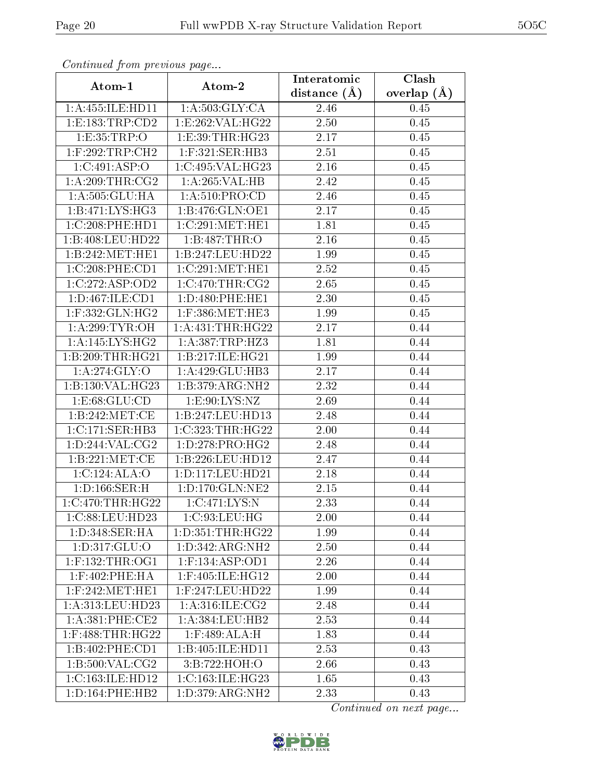| Comunaca jiom previous page |                                  | Interatomic    | Clash           |
|-----------------------------|----------------------------------|----------------|-----------------|
| Atom-1                      | Atom-2                           | distance $(A)$ | overlap $(\AA)$ |
| 1:A:455:ILE:HD11            | 1: A:503: GLY:CA                 | 2.46           | 0.45            |
| 1:E:183:TRP:CD2             | 1:E:262:VAL:HG22                 | 2.50           | 0.45            |
| 1: E: 35: TRP:O             | 1:E:39:THR:HG23                  | 2.17           | 0.45            |
| $1:$ F:292:TRP:CH2          | $1:$ F:321:SER:HB3               | 2.51           | 0.45            |
| 1:C:491:ASP:O               | 1:C:495:VAL:HG23                 | 2.16           | 0.45            |
| 1: A:209:THR:CG2            | 1:A:265:VAL:H B                  | 2.42           | 0.45            |
| 1: A: 505: GLU: HA          | 1: A:510: PRO:CD                 | 2.46           | 0.45            |
| 1:B:471:LYS:HG3             | 1: B:476: GLN:OE1                | 2.17           | 0.45            |
| 1:C:208:PHE:HD1             | 1:C:291:MET:HE1                  | 1.81           | 0.45            |
| 1:B:408:LEU:HD22            | 1:B:487:THR:O                    | 2.16           | 0.45            |
| 1:B:242:MET:HE1             | 1:B:247:LEU:HD22                 | 1.99           | 0.45            |
| 1:C:208:PHE:CD1             | 1:C:291:MET:HE1                  | 2.52           | 0.45            |
| 1:C:272:ASP:OD2             | 1:C:470:THR:CG2                  | 2.65           | 0.45            |
| 1:D:467:ILE:CD1             | 1: D: 480: PHE: HE1              | 2.30           | 0.45            |
| 1:F:332:GLN:HG2             | $1:$ F:386:MET:HE3               | 1.99           | 0.45            |
| 1: A:299:TYR:OH             | 1: A: 431: THR: HG22             | 2.17           | 0.44            |
| 1:A:145:LYS:HG2             | 1: A:387:TRP:HZ3                 | 1.81           | 0.44            |
| 1:B:209:THR:HG21            | 1:B:217:ILE:HG21                 | 1.99           | 0.44            |
| 1:A:274:GLY:O               | 1:A:429:GLU:HB3                  | 2.17           | 0.44            |
| 1:B:130:VAL:HG23            | 1:B:379:ARG:NH2                  | 2.32           | 0.44            |
| 1: E:68: GLU:CD             | 1: E:90: LYS: NZ                 | 2.69           | 0.44            |
| 1: B: 242: MET:CE           | 1:B:247:LEU:HD13                 | 2.48           | 0.44            |
| 1: C: 171: SER: HB3         | 1:C:323:THR:HG22                 | 2.00           | 0.44            |
| 1: D: 244: VAL: CG2         | $1: D: 278: PRO: \overline{HG2}$ | 2.48           | 0.44            |
| 1:B:221:MET:CE              | 1:B:226:LEU:HD12                 | 2.47           | 0.44            |
| 1:C:124:ALA:O               | 1:D:117:LEU:HD21                 | 2.18           | 0.44            |
| 1: D: 166: SER:H            | 1: D: 170: GLN: NE2              | 2.15           | 0.44            |
| 1:C:470:THR:HG22            | 1:C:471:LYS:N                    | 2.33           | 0.44            |
| 1:C:88:LEU:HD23             | 1:C:93:LEU:HG                    | 2.00           | 0.44            |
| 1:D:348:SER:HA              | 1:D:351:THR:HG22                 | 1.99           | 0.44            |
| 1: D: 317: GLU: O           | 1:D:342:ARG:NH2                  | 2.50           | 0.44            |
| $1:$ F:132:THR:OG1          | 1:F:134:ASP:OD1                  | 2.26           | 0.44            |
| $1:$ F:402:PHE:HA           | 1:F:405:ILE:HG12                 | 2.00           | 0.44            |
| $1:$ F:242:MET:HE1          | 1:F:247:LEU:HD22                 | 1.99           | 0.44            |
| 1:A:313:LEU:HD23            | 1: A:316: ILE: CG2               | 2.48           | 0.44            |
| 1: A:381: PHE:CE2           | 1:A:384:LEU:HB2                  | 2.53           | 0.44            |
| $1:$ F:488:THR:HG22         | $1:$ F:489:ALA:H                 | 1.83           | 0.44            |
| 1:B:402:PHE:CD1             | 1:B:405:ILE:HD11                 | 2.53           | 0.43            |
| 1: B:500: VAL: CG2          | 3:B:722:HOH:O                    | 2.66           | 0.43            |
| 1:C:163:ILE:HD12            | 1:C:163:ILE:HG23                 | 1.65           | 0.43            |
| 1: D: 164: PHE: HB2         | 1:D:379:ARG:NH2                  | 2.33           | 0.43            |

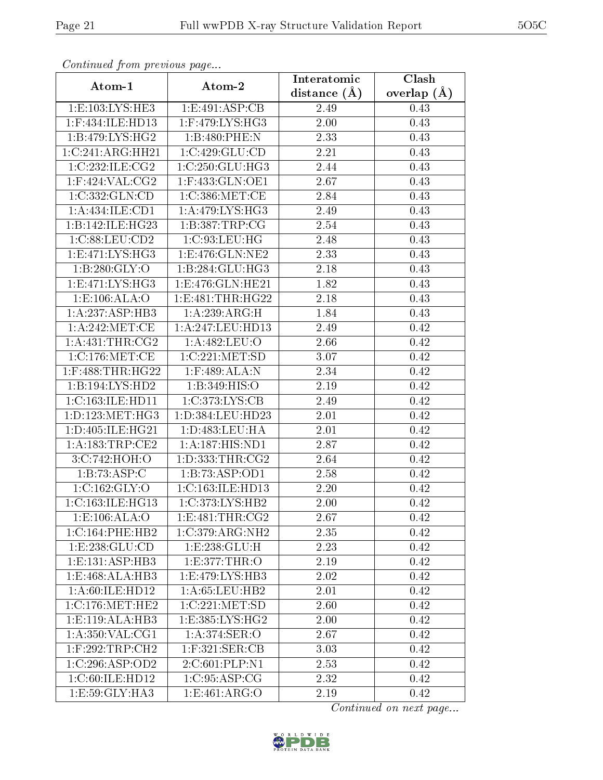| Commuca from previous page |                                      | Interatomic       | Clash           |
|----------------------------|--------------------------------------|-------------------|-----------------|
| Atom-1                     | Atom-2                               | distance $(A)$    | overlap $(\AA)$ |
| 1:E:103:LYS:HE3            | 1:E:491:ASP:CB                       | 2.49              | 0.43            |
| 1:F:434:ILE:HD13           | $1:$ F:479:LYS:HG3                   | 2.00              | 0.43            |
| 1:B:479:LYS:HG2            | 1:B:480:PHE:N                        | 2.33              | 0.43            |
| 1:C:241:ARG:HH21           | 1:C:429:GLU:CD                       | 2.21              | 0.43            |
| 1:C:232:ILE:CG2            | 1:C:250:GLU:HG3                      | 2.44              | 0.43            |
| $1:$ F:424:VAL:CG2         | 1:F:433:GLN:OE1                      | 2.67              | 0.43            |
| 1:C:332:GLN:CD             | $1:C:386:\overline{\mathrm{MET}}:CE$ | 2.84              | 0.43            |
| 1:A:434:ILE:CD1            | 1: A:479: LYS: HG3                   | 2.49              | 0.43            |
| 1:B:142:ILE:HG23           | 1:B:387:TRP:CG                       | 2.54              | 0.43            |
| 1:C:88:LEU:CD2             | 1:C:93:LEU:HG                        | 2.48              | 0.43            |
| 1:E:471:LYS:HG3            | 1:E:476:GLN:NE2                      | 2.33              | 0.43            |
| 1: B:280: GLY:O            | 1:B:284:GLU:HG3                      | 2.18              | 0.43            |
| 1: E: 471: LYS: HG3        | 1:E:476:GLN:HE21                     | 1.82              | 0.43            |
| 1:E:106:ALA:O              | 1: E:481: THR: HG22                  | 2.18              | 0.43            |
| 1:A:237:ASP:HB3            | 1:A:239:ARG:H                        | 1.84              | 0.43            |
| 1: A:242:MET:CE            | 1:A:247:LEU:HD13                     | 2.49              | 0.42            |
| 1: A: 431:THR: CG2         | 1:A:482:LEU:O                        | 2.66              | 0.42            |
| 1:C:176:MET:CE             | 1:C:221:MET:SD                       | 3.07              | 0.42            |
| 1:F:488:THR:HG22           | 1:F:489:ALA:N                        | 2.34              | 0.42            |
| 1:B:194:LYS:HD2            | 1: B: 349: HIS: O                    | 2.19              | 0.42            |
| 1:C:163:ILE:HD11           | 1:C:373:LYS:CB                       | $\overline{2}.49$ | 0.42            |
| 1: D: 123: MET:HG3         | 1:D:384:LEU:HD23                     | 2.01              | 0.42            |
| 1:D:405:ILE:HG21           | 1: D: 483: LEU: HA                   | 2.01              | 0.42            |
| 1: A: 183: TRP: CE2        | 1:A:187:HIS:ND1                      | 2.87              | 0.42            |
| 3:C:742:HOH:O              | 1: D: 333: THR: CG2                  | 2.64              | 0.42            |
| 1:B:73:ASP:C               | 1:B:73:ASP:OD1                       | 2.58              | 0.42            |
| 1:C:162:GLY:O              | 1:C:163:ILE:HD13                     | 2.20              | 0.42            |
| 1:C:163:ILE:HG13           | 1:C:373:LYS:HB2                      | $2.00\,$          | 0.42            |
| 1: E: 106: ALA: O          | 1: E:481: THR: CG2                   | 2.67              | 0.42            |
| 1:C:164:PHE:HB2            | 1:C:379:ARG:NH2                      | 2.35              | 0.42            |
| 1:E:238:GLU:CD             | 1: E: 238: GLU:H                     | 2.23              | 0.42            |
| 1:E:131:ASP:HB3            | 1:E:377:THR:O                        | 2.19              | 0.42            |
| 1:E:468:ALA:HB3            | 1:E:479:LYS:HB3                      | 2.02              | 0.42            |
| 1:A:60:ILE:HD12            | 1: A:65:LEU:HB2                      | 2.01              | 0.42            |
| 1:C:176:MET:HE2            | 1:C:221:MET:SD                       | 2.60              | 0.42            |
| 1: E: 119: ALA: HB3        | 1:E:385:LYS:HG2                      | 2.00              | 0.42            |
| 1: A:350: VAL:CG1          | 1: A:374: SER:O                      | 2.67              | 0.42            |
| $1:$ F:292:TRP:CH2         | $1:$ F:321:SER:CB                    | 3.03              | 0.42            |
| 1:C:296:ASP:OD2            | 2:C:601:PLP:N1                       | 2.53              | 0.42            |
| 1:C:60:ILE:HD12            | 1:C:95:ASP:CG                        | 2.32              | 0.42            |
| 1:E:59:GLY:HA3             | $1: E:461: \overline{ARG:O}$         | 2.19              | 0.42            |

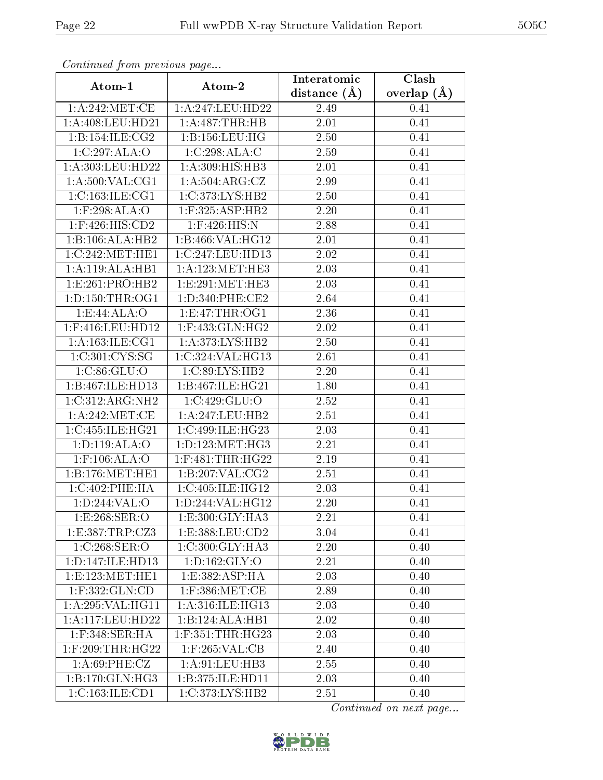| Continuea from previous page |                                     | Interatomic        | Clash         |  |
|------------------------------|-------------------------------------|--------------------|---------------|--|
| Atom-1                       | Atom-2                              | distance $(A)$     | overlap $(A)$ |  |
| 1: A:242: MET:CE             | 1:A:247:LEU:HD22                    | 2.49               | 0.41          |  |
| 1:A:408:LEU:HD21             | 1:A:487:THR:HB                      | 2.01               | 0.41          |  |
| 1: B: 154: ILE: CG2          | 1: B: 156: LEU: HG                  | 2.50               | 0.41          |  |
| 1:C:297:ALA:O                | 1:C:298:ALA:C                       | 2.59               | 0.41          |  |
| 1:A:303:LEU:HD22             | 1:A:309:HIS:HB3                     | 2.01               | 0.41          |  |
| 1:A:500:VAL:CG1              | 1:A:504:ARG:CZ                      | 2.99               | 0.41          |  |
| 1:C:163:ILE:CG1              | 1:C:373:LYS:HB2                     | $\overline{2}.50$  | 0.41          |  |
| $1:$ F:298:ALA:O             | $1:$ F:325:ASP:HB2                  | 2.20               | 0.41          |  |
| $1:$ F:426:HIS:CD2           | $1:$ F:426:HIS:N                    | $\overline{2}$ .88 | 0.41          |  |
| 1:B:106:ALA:HB2              | 1:B:466:VAL:HG12                    | 2.01               | 0.41          |  |
| 1:C:242:MET:HE1              | 1:C:247:LEU:HD13                    | 2.02               | 0.41          |  |
| 1:A:119:ALA:HB1              | $1:A:123:\overline{\text{MET:HE3}}$ | 2.03               | 0.41          |  |
| 1:E:261:PRO:HB2              | 1:E:291:MET:HE3                     | 2.03               | 0.41          |  |
| 1: D: 150: THR: OG1          | 1:D:340:PHE:CE2                     | 2.64               | 0.41          |  |
| 1:E:44:ALA:O                 | 1: E: 47: THR: OG1                  | 2.36               | 0.41          |  |
| 1:F:416:LEU:HD12             | 1:F:433:GLN:HG2                     | 2.02               | 0.41          |  |
| 1: A: 163: ILE: CG1          | 1: A:373: LYS: HB2                  | 2.50               | 0.41          |  |
| 1:C:301:CYS:SG               | 1:C:324:VAL:HG13                    | 2.61               | 0.41          |  |
| 1:C:86:GLU:O                 | $1:\overline{C:89:LYS:HB2}$         | 2.20               | 0.41          |  |
| 1:B:467:ILE:HD13             | 1:B:467:ILE:HG21                    | 1.80               | 0.41          |  |
| 1:C:312:ARG:NH2              | 1:C:429:GLU:O                       | 2.52               | 0.41          |  |
| 1: A:242:MET:CE              | 1:A:247:LEU:HB2                     | 2.51               | 0.41          |  |
| 1:C:455:ILE:HG21             | 1:C:499:ILE:HG23                    | 2.03               | 0.41          |  |
| 1: D: 119: ALA: O            | 1: D: 123: MET:HG3                  | $\overline{2}.21$  | 0.41          |  |
| 1:F:106:ALA:O                | $1:$ F:481:THR:HG22                 | 2.19               | 0.41          |  |
| 1: B: 176: MET: HE1          | 1: B:207: VAL: CG2                  | $\overline{2.51}$  | 0.41          |  |
| 1:C:402:PHE:HA               | 1:C:405:ILE:HG12                    | 2.03               | 0.41          |  |
| 1: D:244: VAL:O              | 1:D:244:VAL:HG12                    | 2.20               | 0.41          |  |
| 1:E:268:SER:O                | 1:E:300:GLY:HA3                     | 2.21               | 0.41          |  |
| 1:E:387:TRP:CZ3              | 1: E: 388: LEU: CD2                 | 3.04               | 0.41          |  |
| 1:C:268:SER:O                | 1:C:300:GLY:HA3                     | 2.20               | 0.40          |  |
| 1: D: 147: ILE: HD13         | 1: D: 162: GLY: O                   | 2.21               | 0.40          |  |
| 1: E: 123: MET: HE1          | 1:E:382:ASP:HA                      | 2.03               | 0.40          |  |
| 1:F:332:GLN:CD               | $1:$ F:386:MET:CE                   | 2.89               | 0.40          |  |
| 1: A:295: VAL:HGI1           | 1: A:316: ILE: HG13                 | 2.03               | 0.40          |  |
| 1:A:117:LEU:HD22             | 1:B:124:ALA:HB1                     | 2.02               | 0.40          |  |
| 1:F:348:SER:HA               | $1:$ F:351:THR:HG23                 | 2.03               | 0.40          |  |
| 1:F:209:THR:HG22             | 1:F:265:VAL:CB                      | 2.40               | 0.40          |  |
| 1: A:69: PHE: CZ             | 1: A:91:LEU:HB3                     | 2.55               | 0.40          |  |
| 1:B:170:GLN:HG3              | 1:B:375:ILE:HD11                    | 2.03               | 0.40          |  |
| 1:C:163:ILE:CD1              | 1:C:373:LYS:HB2                     | 2.51               | 0.40          |  |

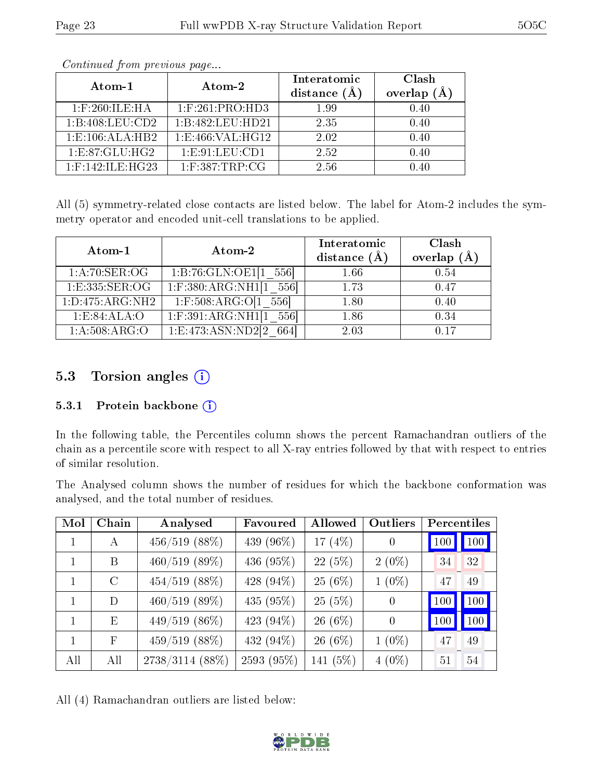| Atom-1              | Atom-2             | Interatomic<br>distance $(A)$ | Clash<br>overlap<br>(A) |
|---------------------|--------------------|-------------------------------|-------------------------|
| $1:$ F:260:ILE:HA   | $1:$ F:261:PRO:HD3 | 1.99                          | 0.40                    |
| 1:B:408:LEU:CD2     | 1:B:482:LEU:HD21   | 2.35                          | 0.40                    |
| 1: E: 106: ALA: HB2 | 1: E:466: VAL:HG12 | 2.02                          | 0.40                    |
| 1: E:87: GLU: HG2   | 1: E: 91: LEU: CD1 | 2.52                          | 0.40                    |
| $1:$ F:142:ILE:HG23 | $1:$ F:387:TRP:CG  | 2.56                          | D 40                    |

All (5) symmetry-related close contacts are listed below. The label for Atom-2 includes the symmetry operator and encoded unit-cell translations to be applied.

| Atom-1              | Atom-2                     | Interatomic<br>distance $(A)$ | Clash<br>overlap $(A)$ |
|---------------------|----------------------------|-------------------------------|------------------------|
| 1: A:70: SER:OG     | 1:B:76:GLN:OE1[1 556]      | 1.66                          | 0.54                   |
| 1:E:335:SER:OG      | $1:$ F:380:ARG:NH1[1 556]  | 1.73                          | 0.47                   |
| 1: D: 475: ARG: NH2 | $1:$ F:508:ARG:O[1 556]    | 1.80                          | 0.40                   |
| 1:E:84:ALA:O        | $1:$ F:391:ARG:NH1[1 556]  | 1.86                          | 0.34                   |
| 1: A:508: ARG:O     | 1:Eq.473:ASN:ND2[2]<br>664 | 2.03                          | 0.17                   |

### 5.3 Torsion angles (i)

#### 5.3.1 Protein backbone (i)

In the following table, the Percentiles column shows the percent Ramachandran outliers of the chain as a percentile score with respect to all X-ray entries followed by that with respect to entries of similar resolution.

The Analysed column shows the number of residues for which the backbone conformation was analysed, and the total number of residues.

| Mol | Chain        | Analysed          | Favoured   | Allowed   | Outliers | Percentiles |     |
|-----|--------------|-------------------|------------|-----------|----------|-------------|-----|
|     | $\mathbf{A}$ | $456/519$ (88%)   | 439 (96\%) | 17 $(4%)$ | $\theta$ | 100         | 100 |
|     | B            | $460/519$ (89%)   | 436 (95%)  | 22(5%)    | $2(0\%)$ | 34          | 32  |
| 1   | $\rm C$      | $454/519$ (88%)   | 428 (94%)  | $25(6\%)$ | $1(0\%)$ | 47          | 49  |
| 1   | D            | $460/519$ (89%)   | 435 (95%)  | 25(5%)    | $\theta$ | 100         | 100 |
| 1   | E            | $449/519$ (86%)   | 423 (94%)  | $26(6\%)$ | $\theta$ | 100         | 100 |
| 1   | $_{\rm F}$   | $459/519$ (88%)   | 432 (94%)  | $26(6\%)$ | $1(0\%)$ | 47          | 49  |
| All | All          | $2738/3114$ (88%) | 2593 (95%) | 141 (5%)  | $4(0\%)$ | 51          | 54  |

All (4) Ramachandran outliers are listed below:

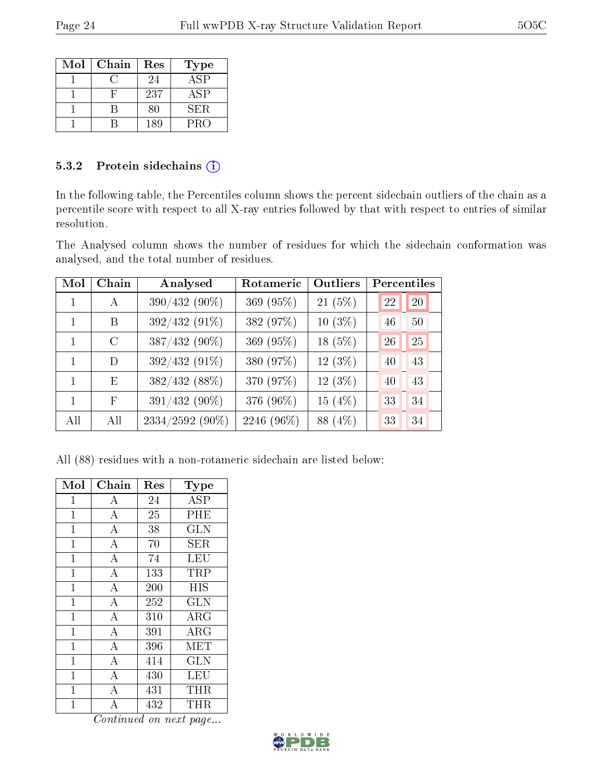| Mol | Chain | Res | <b>Type</b>      |
|-----|-------|-----|------------------|
|     |       | 24  | $AS\overline{P}$ |
|     |       | 237 | <b>ASP</b>       |
|     |       | 80  | SER.             |
|     |       | 189 | <b>PRO</b>       |

#### 5.3.2 Protein sidechains (i)

In the following table, the Percentiles column shows the percent sidechain outliers of the chain as a percentile score with respect to all X-ray entries followed by that with respect to entries of similar resolution.

The Analysed column shows the number of residues for which the sidechain conformation was analysed, and the total number of residues.

| Mol | Chain         | Analysed        | Rotameric  | <b>Outliers</b> | Percentiles |
|-----|---------------|-----------------|------------|-----------------|-------------|
|     | A             | 390/432 (90%)   | 369 (95%)  | $21(5\%)$       | 22<br>20    |
|     | B             | 392/432 (91%)   | 382 (97%)  | $10(3\%)$       | 50<br>46    |
| 1   | $\mathcal{C}$ | 387/432 (90%)   | 369 (95%)  | 18 (5%)         | 25<br>26    |
| 1   | D             | 392/432 (91%)   | 380 (97%)  | $12(3\%)$       | 43<br>40    |
|     | E             | 382/432 (88%)   | 370 (97%)  | $12(3\%)$       | 43<br>40    |
| 1   | $_{\rm F}$    | 391/432 (90%)   | 376 (96%)  | 15 $(4\%)$      | 34<br>33    |
| All | All           | 2334/2592 (90%) | 2246 (96%) | 88 (4%)         | 34<br>33    |

All (88) residues with a non-rotameric sidechain are listed below:

| Mol            | Chain              | Res | <b>Type</b> |
|----------------|--------------------|-----|-------------|
| $\mathbf{1}$   | A                  | 24  | <b>ASP</b>  |
| $\mathbf 1$    | $\bf{A}$           | 25  | PHE         |
| $\mathbf{1}$   | $\overline{A}$     | 38  | <b>GLN</b>  |
| $\mathbf{1}$   | $\boldsymbol{A}$   | 70  | SER         |
| $\mathbf{1}$   | $\boldsymbol{A}$   | 74  | LEU         |
| $\overline{1}$ | $\overline{\rm A}$ | 133 | TRP         |
| $\mathbf{1}$   | $\bf{A}$           | 200 | HIS         |
| $\mathbf{1}$   | $\bf{A}$           | 252 | <b>GLN</b>  |
| $\overline{1}$ | $\overline{\rm A}$ | 310 | ARG         |
| $\mathbf 1$    | $\overline{A}$     | 391 | $\rm{ARG}$  |
| $\overline{1}$ | $\boldsymbol{A}$   | 396 | MET         |
| $\mathbf{1}$   | $\overline{A}$     | 414 | <b>GLN</b>  |
| 1              | $\overline{A}$     | 430 | LEU         |
| $\mathbf{1}$   | $\boldsymbol{A}$   | 431 | THR         |
| 1              | A                  | 432 | THR         |

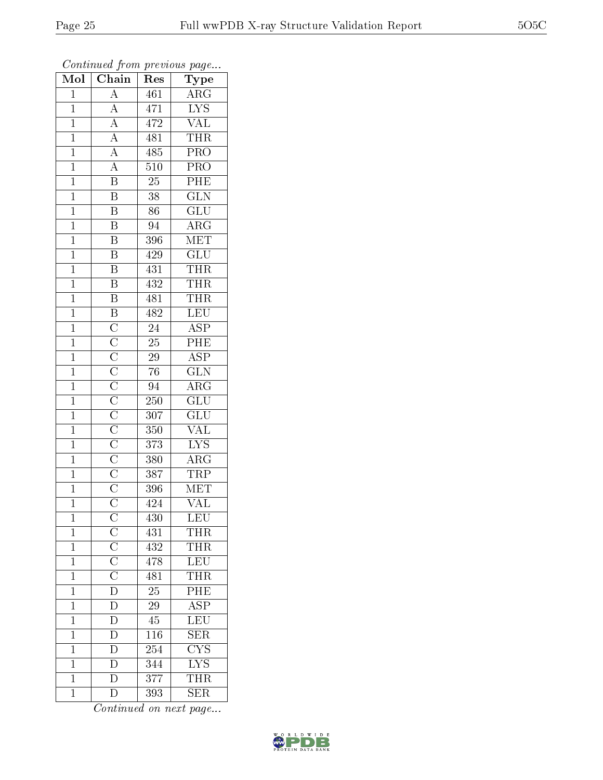| Mol            | . <i>.</i><br>$\overline{\text{Chain}}$                                                                                                                                                                                                           | $r \cdot \circ \circ$<br><b>Res</b> | $r \sim 3$<br>${\bf Type}$ |
|----------------|---------------------------------------------------------------------------------------------------------------------------------------------------------------------------------------------------------------------------------------------------|-------------------------------------|----------------------------|
| $\mathbf{1}$   | $\overline{A}$                                                                                                                                                                                                                                    | 461                                 | $\overline{\rm ARG}$       |
| $\overline{1}$ | $\overline{A}$                                                                                                                                                                                                                                    | 471                                 | $\overline{\text{LYS}}$    |
| $\overline{1}$ |                                                                                                                                                                                                                                                   | 472                                 | VAL                        |
| $\mathbf{1}$   |                                                                                                                                                                                                                                                   | $\overline{481}$                    | <b>THR</b>                 |
| $\overline{1}$ | $\frac{\overline{A}}{\overline{A}}$ $\frac{\overline{A}}{\overline{A}}$                                                                                                                                                                           | 485                                 | $\overline{\text{PRO}}$    |
| $\overline{1}$ |                                                                                                                                                                                                                                                   | $\overline{510}$                    | PRO                        |
| $\overline{1}$ | $\overline{\mathbf{B}}$                                                                                                                                                                                                                           | $2\overline{5}$                     | PHE                        |
| $\overline{1}$ | $\overline{\mathrm{B}}$                                                                                                                                                                                                                           | $\overline{38}$                     | $\overline{\text{GLN}}$    |
| $\mathbf{1}$   | $\overline{\mathbf{B}}$                                                                                                                                                                                                                           | 86                                  | $\overline{\text{GLU}}$    |
| $\overline{1}$ | $\overline{\mathrm{B}}$                                                                                                                                                                                                                           | 94                                  | $\overline{\rm{ARG}}$      |
| $\overline{1}$ | $\overline{\mathrm{B}}$                                                                                                                                                                                                                           | 396                                 | MET                        |
| $\overline{1}$ | $\overline{\mathrm{B}}$                                                                                                                                                                                                                           | 429                                 | $\overline{\mathrm{GLU}}$  |
| $\mathbf{1}$   | $\overline{\mathbf{B}}$                                                                                                                                                                                                                           | 431                                 | <b>THR</b>                 |
| $\mathbf{1}$   | $\overline{\mathbf{B}}$                                                                                                                                                                                                                           | 432                                 | THR                        |
| $\mathbf{1}$   | $\overline{B}$                                                                                                                                                                                                                                    | 481                                 | <b>THR</b>                 |
| $\mathbf{1}$   | $\overline{\mathbf{B}}$                                                                                                                                                                                                                           | 482                                 | LEU                        |
| $\overline{1}$ | $\overline{\text{C}}$ $\overline{\text{C}}$ $\overline{\text{C}}$ $\overline{\text{C}}$ $\overline{\text{C}}$ $\overline{\text{C}}$ $\overline{\text{C}}$ $\overline{\text{C}}$ $\overline{\text{C}}$ $\overline{\text{C}}$ $\overline{\text{C}}$ | $\overline{24}$                     | $\overline{\text{ASP}}$    |
| $\mathbf{1}$   |                                                                                                                                                                                                                                                   | $25\,$                              | PHE                        |
| $\mathbf{1}$   |                                                                                                                                                                                                                                                   | $\overline{29}$                     | $\overline{\text{ASP}}$    |
| $\mathbf{1}$   |                                                                                                                                                                                                                                                   | 76                                  | $\overline{\text{GLN}}$    |
| $\overline{1}$ |                                                                                                                                                                                                                                                   | 94                                  | $\overline{\rm{ARG}}$      |
| $\overline{1}$ |                                                                                                                                                                                                                                                   | 250                                 | $\overline{{\rm GLU}}$     |
| $\mathbf{1}$   |                                                                                                                                                                                                                                                   | $\overline{3}07$                    | GLU                        |
| $\mathbf{1}$   |                                                                                                                                                                                                                                                   | 350                                 | $\overline{\text{VAL}}$    |
| $\overline{1}$ |                                                                                                                                                                                                                                                   | 373                                 | $\overline{\text{LYS}}$    |
| $\mathbf{1}$   |                                                                                                                                                                                                                                                   | 380                                 | $\rm{ARG}$                 |
| $\overline{1}$ |                                                                                                                                                                                                                                                   | 387                                 | <b>TRP</b>                 |
| $\mathbf{1}$   |                                                                                                                                                                                                                                                   | 396                                 | MET                        |
| $\overline{1}$ |                                                                                                                                                                                                                                                   | 424                                 | $\overline{\text{VAL}}$    |
| 1              |                                                                                                                                                                                                                                                   | 430                                 | LEU                        |
| $\overline{1}$ |                                                                                                                                                                                                                                                   | 431                                 | <b>THR</b>                 |
| $\mathbf{1}$   |                                                                                                                                                                                                                                                   | 432                                 | $\overline{\text{THR}}$    |
| $\mathbf{1}$   | $\frac{\overline{C}}{\overline{C}}$ $\frac{\overline{C}}{\overline{C}}$ $\frac{\overline{C}}{\overline{D}}$ $\frac{\overline{D}}{\overline{D}}$ $\frac{\overline{D}}{\overline{D}}$                                                               | 478                                 | LEU                        |
| $\mathbf{1}$   |                                                                                                                                                                                                                                                   | 481                                 | $\overline{\text{THR}}$    |
| $\mathbf{1}$   |                                                                                                                                                                                                                                                   | 25                                  | PHE                        |
| $\overline{1}$ |                                                                                                                                                                                                                                                   | $\overline{29}$                     | $\overline{\text{ASP}}$    |
| $\mathbf{1}$   |                                                                                                                                                                                                                                                   | 45                                  | LEU                        |
| $\mathbf{1}$   | $\overline{\rm D}$                                                                                                                                                                                                                                | 116                                 | SER                        |
| $\mathbf{1}$   | $\frac{\overline{D}}{D}$                                                                                                                                                                                                                          | 254                                 | $\overline{\text{CYS}}$    |
| $\mathbf{1}$   |                                                                                                                                                                                                                                                   | 344                                 | $\overline{\text{LYS}}$    |
| $\mathbf{1}$   | $\overline{D}$                                                                                                                                                                                                                                    | 377                                 | <b>THR</b>                 |
| $\mathbf{1}$   | $\overline{\rm D}$                                                                                                                                                                                                                                | 393                                 | $\overline{\text{SER}}$    |

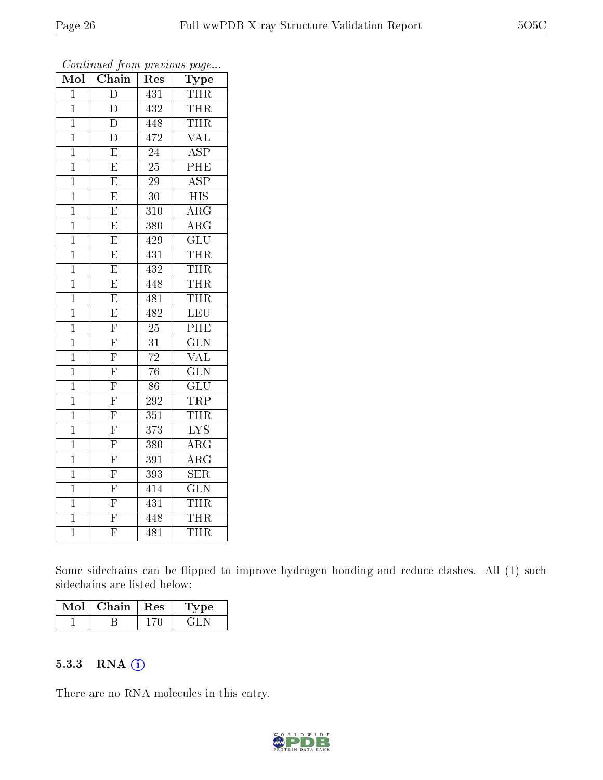| Mol            | Chain                   | Res              | Type                      |
|----------------|-------------------------|------------------|---------------------------|
| $\mathbf{1}$   | $\overline{D}$          | 431              | <b>THR</b>                |
| $\mathbf{1}$   | D                       | 432              | <b>THR</b>                |
| $\mathbf 1$    | $\overline{\rm D}$      | 448              | <b>THR</b>                |
| $\mathbf 1$    | $\overline{\rm D}$      | 472              | $\rm V\overline{AL}$      |
| $\mathbf 1$    | $\overline{\mathrm{E}}$ | 24               | $\overline{\text{ASP}}$   |
| $\mathbf 1$    | $\overline{\mathrm{E}}$ | $25\,$           | PHE                       |
| $\overline{1}$ | $\overline{\mathrm{E}}$ | $\overline{29}$  | $\overline{\text{ASP}}$   |
| $\mathbf 1$    | $\overline{\mathrm{E}}$ | $30\,$           | <b>HIS</b>                |
| $\mathbf 1$    | $\overline{\mathrm{E}}$ | 310              | $\overline{\rm{ARG}}$     |
| $\overline{1}$ | $\overline{\mathrm{E}}$ | 380              | $\overline{\rm{ARG}}$     |
| $\mathbf 1$    | $\overline{\mathrm{E}}$ | 429              | $\overline{\text{GLU}}$   |
| $\mathbf 1$    | $\overline{\mathrm{E}}$ | 431              | THR                       |
| $\mathbf 1$    | $\overline{\mathrm{E}}$ | 432              | THR                       |
| $\mathbf 1$    | $\overline{\mathrm{E}}$ | 448              | <b>THR</b>                |
| $\mathbf 1$    | $\overline{\mathrm{E}}$ | 481              | THR                       |
| $\overline{1}$ | $\overline{\mathrm{E}}$ | 482              | $\overline{\text{LEU}}$   |
| $\mathbf{1}$   | $\overline{F}$          | 25               | $\overline{\mathrm{PHE}}$ |
| $\mathbf 1$    | $\overline{\mathrm{F}}$ | 31               | $\overline{\text{GLN}}$   |
| $\overline{1}$ | $\overline{\mathrm{F}}$ | $\overline{72}$  | $\overline{\text{VAL}}$   |
| $\mathbf 1$    | $\overline{\mathrm{F}}$ | $\overline{76}$  | $\overline{\text{GLN}}$   |
| $\mathbf{1}$   | $\overline{\mathrm{F}}$ | 86               | GLU                       |
| $\mathbf 1$    | $\overline{\mathrm{F}}$ | 292              | <b>TRP</b>                |
| $\mathbf 1$    | $\overline{\mathrm{F}}$ | 351              | <b>THR</b>                |
| $\mathbf 1$    | $\overline{\mathrm{F}}$ | $\overline{373}$ | $\overline{\mathrm{LYS}}$ |
| $\overline{1}$ | $\overline{\mathrm{F}}$ | 380              | $\overline{\rm ARG}$      |
| $\overline{1}$ | $\overline{\mathrm{F}}$ | 391              | $\overline{\rm ARG}$      |
| $\mathbf 1$    | $\overline{\mathrm{F}}$ | 393              | SER                       |
| $\overline{1}$ | $\overline{\mathrm{F}}$ | 414              | <b>GLN</b>                |
| $\mathbf 1$    | $\overline{F}$          | 431              | <b>THR</b>                |
| $\mathbf 1$    | $\overline{\mathrm{F}}$ | 448              | <b>THR</b>                |
| $\mathbf 1$    | $\overline{\mathrm{F}}$ | 481              | THR                       |

Some sidechains can be flipped to improve hydrogen bonding and reduce clashes. All (1) such sidechains are listed below:

| Chain   Res | рe  |
|-------------|-----|
|             | 21. |

#### 5.3.3 RNA [O](https://www.wwpdb.org/validation/2017/XrayValidationReportHelp#rna)i

There are no RNA molecules in this entry.

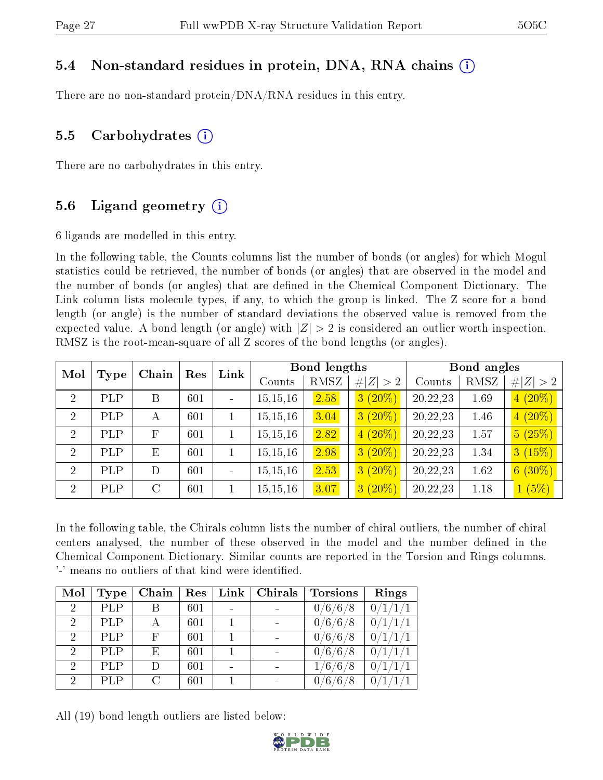# 5.4 Non-standard residues in protein, DNA, RNA chains (i)

There are no non-standard protein/DNA/RNA residues in this entry.

# 5.5 Carbohydrates (i)

There are no carbohydrates in this entry.

# 5.6 Ligand geometry  $(i)$

6 ligands are modelled in this entry.

In the following table, the Counts columns list the number of bonds (or angles) for which Mogul statistics could be retrieved, the number of bonds (or angles) that are observed in the model and the number of bonds (or angles) that are dened in the Chemical Component Dictionary. The Link column lists molecule types, if any, to which the group is linked. The Z score for a bond length (or angle) is the number of standard deviations the observed value is removed from the expected value. A bond length (or angle) with  $|Z| > 2$  is considered an outlier worth inspection. RMSZ is the root-mean-square of all Z scores of the bond lengths (or angles).

| Mol            |            | Chain        | Res | Link |            | <b>Bond lengths</b> |             |          | Bond angles |             |
|----------------|------------|--------------|-----|------|------------|---------------------|-------------|----------|-------------|-------------|
|                | Type       |              |     |      | Counts     | RMSZ                | # $ Z  > 2$ | Counts   | RMSZ        | # $ Z  > 2$ |
| $\overline{2}$ | <b>PLP</b> | B            | 601 |      | 15, 15, 16 | 2.58                | $3(20\%)$   | 20,22,23 | 1.69        | $4(20\%)$   |
| $\overline{2}$ | PLP        | А            | 601 |      | 15, 15, 16 | 3.04                | $3(20\%)$   | 20,22,23 | 1.46        | $4(20\%)$   |
| $\overline{2}$ | PLP        | $\mathbf{F}$ | 601 |      | 15, 15, 16 | 2.82                | $4(26\%)$   | 20,22,23 | 1.57        | 5(25%)      |
| $\overline{2}$ | PLP        | E            | 601 |      | 15, 15, 16 | 2.98                | $3(20\%)$   | 20,22,23 | 1.34        | 3(15%)      |
| $\overline{2}$ | PLP        | D            | 601 |      | 15, 15, 16 | 2.53                | $3(20\%)$   | 20,22,23 | 1.62        | $6(30\%)$   |
| $\overline{2}$ | PLP        | $\rm C$      | 601 |      | 15, 15, 16 | 3.07                | $3(20\%)$   | 20,22,23 | 1.18        | 1(5%)       |

In the following table, the Chirals column lists the number of chiral outliers, the number of chiral centers analysed, the number of these observed in the model and the number defined in the Chemical Component Dictionary. Similar counts are reported in the Torsion and Rings columns. '-' means no outliers of that kind were identified.

| Mol                         | <b>Type</b> | Chain | Res | $Link \mid$              | $\mid$ Chirals | <b>Torsions</b>             | Rings          |
|-----------------------------|-------------|-------|-----|--------------------------|----------------|-----------------------------|----------------|
| $\mathcal{D}_{\mathcal{L}}$ | PLP         |       | 601 | $\overline{\phantom{0}}$ |                | $\sqrt{6/6}/8$              | 0/1            |
| $\overline{2}$              | <b>PLP</b>  |       | 601 |                          |                | 0/6/6/8                     | 0 <sub>1</sub> |
| $\overline{2}$              | <b>PLP</b>  | F     | 601 |                          |                | /6 $/$<br>$/6$ $/$<br>0/    | 0/             |
| $\overline{2}$              | <b>PLP</b>  | E     | 601 |                          |                | /6 / 6 $\scriptstyle\rm{/}$ | 0 <sub>1</sub> |
| $\mathcal{D}$               | <b>PLP</b>  |       | 601 | $\overline{\phantom{0}}$ |                | $^\prime 6$ /6 ,            | $\Omega$       |
| റ                           | PLP         | C     | 601 |                          |                | 6                           |                |

All (19) bond length outliers are listed below:

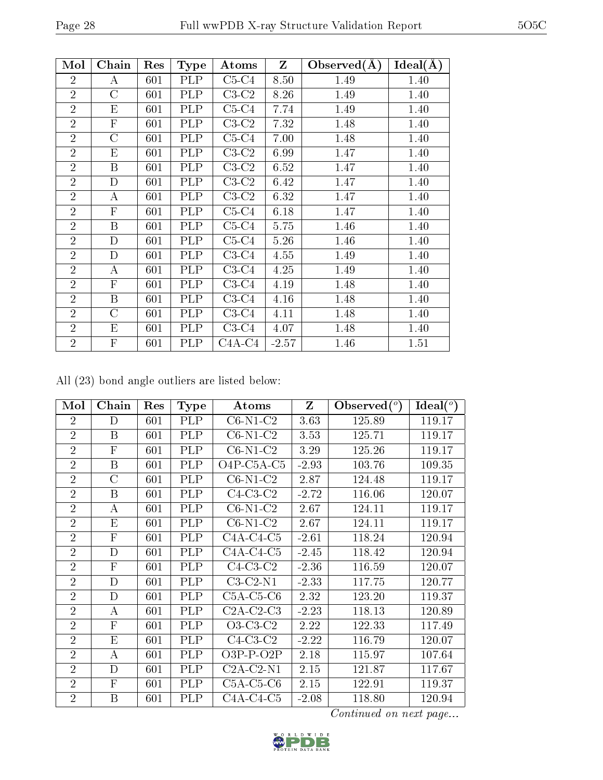| Mol            | Chain            | Res | <b>Type</b> | Atoms    | Z       | Observed $(A)$ | Ideal(A) |
|----------------|------------------|-----|-------------|----------|---------|----------------|----------|
| $\overline{2}$ | А                | 601 | <b>PLP</b>  | $C5-C4$  | 8.50    | 1.49           | 1.40     |
| $\overline{2}$ | C                | 601 | PLP         | $C3-C2$  | 8.26    | 1.49           | 1.40     |
| $\overline{2}$ | Ε                | 601 | PLP         | $C5-C4$  | 7.74    | 1.49           | 1.40     |
| $\overline{2}$ | $\overline{F}$   | 601 | <b>PLP</b>  | $C3-C2$  | 7.32    | 1.48           | 1.40     |
| $\overline{2}$ | C                | 601 | <b>PLP</b>  | $C5-C4$  | 7.00    | 1.48           | 1.40     |
| $\overline{2}$ | E                | 601 | PLP         | $C3-C2$  | 6.99    | 1.47           | 1.40     |
| $\overline{2}$ | $\boldsymbol{B}$ | 601 | PLP         | $C3-C2$  | 6.52    | 1.47           | 1.40     |
| $\overline{2}$ | D                | 601 | PLP         | $C3-C2$  | 6.42    | 1.47           | 1.40     |
| $\overline{2}$ | А                | 601 | PLP         | $C3-C2$  | 6.32    | 1.47           | 1.40     |
| $\overline{2}$ | $\mathbf{F}$     | 601 | <b>PLP</b>  | $C5-C4$  | 6.18    | 1.47           | 1.40     |
| $\overline{2}$ | $\boldsymbol{B}$ | 601 | PLP         | $C5-C4$  | 5.75    | 1.46           | 1.40     |
| $\overline{2}$ | D                | 601 | <b>PLP</b>  | $C5-C4$  | 5.26    | 1.46           | 1.40     |
| $\overline{2}$ | $\mathbf D$      | 601 | <b>PLP</b>  | $C3-C4$  | 4.55    | 1.49           | 1.40     |
| $\overline{2}$ | A                | 601 | <b>PLP</b>  | $C3-C4$  | 4.25    | 1.49           | 1.40     |
| $\overline{2}$ | $\mathbf{F}$     | 601 | <b>PLP</b>  | $C3-C4$  | 4.19    | 1.48           | 1.40     |
| $\overline{2}$ | B                | 601 | <b>PLP</b>  | $C3-C4$  | 4.16    | 1.48           | 1.40     |
| $\overline{2}$ | $\overline{C}$   | 601 | <b>PLP</b>  | $C3-C4$  | 4.11    | 1.48           | 1.40     |
| $\overline{2}$ | E                | 601 | PLP         | $C3-C4$  | 4.07    | 1.48           | 1.40     |
| $\overline{2}$ | $\overline{F}$   | 601 | PLP         | $C4A-C4$ | $-2.57$ | 1.46           | 1.51     |

All (23) bond angle outliers are listed below:

| Mol            | Chain            | Res     | <b>Type</b>      | Atoms         | Z       | Observed $(°)$ | Ideal $(^\circ)$ |
|----------------|------------------|---------|------------------|---------------|---------|----------------|------------------|
| $\overline{2}$ | D                | 601     | <b>PLP</b>       | $C6-N1-C2$    | 3.63    | 125.89         | 119.17           |
| $\overline{2}$ | B                | 601     | PLP              | $C6-N1-C2$    | 3.53    | 125.71         | 119.17           |
| $\overline{2}$ | $\mathbf{F}$     | 601     | PLP              | $C6-N1-C2$    | 3.29    | 125.26         | 119.17           |
| $\overline{2}$ | $\boldsymbol{B}$ | 601     | PLP              | $O4P$ -C5A-C5 | $-2.93$ | 103.76         | 109.35           |
| $\overline{2}$ | $\rm C$          | 601     | PLP              | $C6-N1-C2$    | 2.87    | 124.48         | 119.17           |
| $\overline{2}$ | B                | 601     | <b>PLP</b>       | $C4-C3-C2$    | $-2.72$ | 116.06         | 120.07           |
| $\overline{2}$ | А                | 601     | PLP              | $C6-N1-C2$    | 2.67    | 124.11         | 119.17           |
| $\overline{2}$ | E                | 601     | <b>PLP</b>       | $C6-N1-C2$    | 2.67    | 124.11         | 119.17           |
| $\overline{2}$ | $\mathbf{F}$     | 601     | <b>PLP</b>       | $C4A-C4-C5$   | $-2.61$ | 118.24         | 120.94           |
| $\overline{2}$ | D                | 601     | PLP              | $C4A-C4-C5$   | $-2.45$ | 118.42         | 120.94           |
| $\overline{2}$ | $\mathbf{F}$     | 601     | PLP              | $C4-C3-C2$    | $-2.36$ | 116.59         | 120.07           |
| $\overline{2}$ | $\mathbf D$      | 601     | PLP              | $C3-C2-N1$    | $-2.33$ | 117.75         | 120.77           |
| $\overline{2}$ | $\mathbf D$      | 601     | PLP              | $C5A-C5-C6$   | 2.32    | 123.20         | 119.37           |
| $\overline{2}$ | А                | 601     | <b>PLP</b>       | $C2A-C2-C3$   | $-2.23$ | 118.13         | 120.89           |
| $\overline{2}$ | $\mathbf{F}$     | 601     | <b>PLP</b>       | $O3-C3-C2$    | 2.22    | 122.33         | 117.49           |
| $\overline{2}$ | E                | 601     | PLP              | $C4-C3-C2$    | $-2.22$ | 116.79         | 120.07           |
| $\overline{2}$ | А                | 601     | $\overline{P}LP$ | $O3P-P-O2P$   | 2.18    | 115.97         | 107.64           |
| $\overline{2}$ | D                | 601     | <b>PLP</b>       | $C2A-C2-N1$   | 2.15    | 121.87         | 117.67           |
| $\overline{2}$ | $\mathbf{F}$     | 601     | PLP              | $C5A-C5-C6$   | 2.15    | 122.91         | 119.37           |
| $\overline{2}$ | B                | $601\,$ | PLP              | $C4A-C4-C5$   | $-2.08$ | 118.80         | 120.94           |

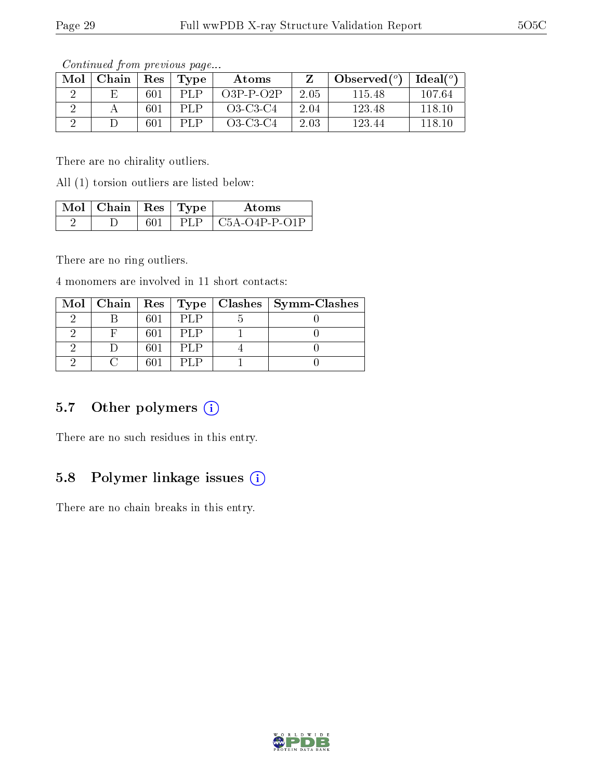|     | contentation provided page |                      |               |              |      |                |          |  |
|-----|----------------------------|----------------------|---------------|--------------|------|----------------|----------|--|
| Mol | Chain                      | $\operatorname{Res}$ | $\Gamma$ Type | <b>Atoms</b> |      | Observed $(°)$ | Ideal(°) |  |
|     | E                          | 601                  | PLP           | $O3P-P-O2P$  | 2.05 | 115.48         | 107.64   |  |
|     |                            | 601                  | PL P          | $O3-C3-C4$   | 2.04 | 123.48         | 118.10   |  |
|     |                            | 601                  | PLP.          | $O3-C3-C4$   | 2.03 | 123.44         | 118.10   |  |

There are no chirality outliers.

All (1) torsion outliers are listed below:

| $\overline{\mathbf{M}}$ ol   Chain   Res   Type |  | Atoms                                                       |
|-------------------------------------------------|--|-------------------------------------------------------------|
|                                                 |  | $\mid$ C <sub>5</sub> A-O <sub>4</sub> P-P-O <sub>1</sub> P |

There are no ring outliers.

4 monomers are involved in 11 short contacts:

|  |     |       | Mol   Chain   Res   Type   Clashes   Symm-Clashes |
|--|-----|-------|---------------------------------------------------|
|  |     | P[    |                                                   |
|  | 601 | PLP   |                                                   |
|  | 601 | PLP   |                                                   |
|  |     | - 1.P |                                                   |

# 5.7 [O](https://www.wwpdb.org/validation/2017/XrayValidationReportHelp#nonstandard_residues_and_ligands)ther polymers (i)

There are no such residues in this entry.

### 5.8 Polymer linkage issues (i)

There are no chain breaks in this entry.

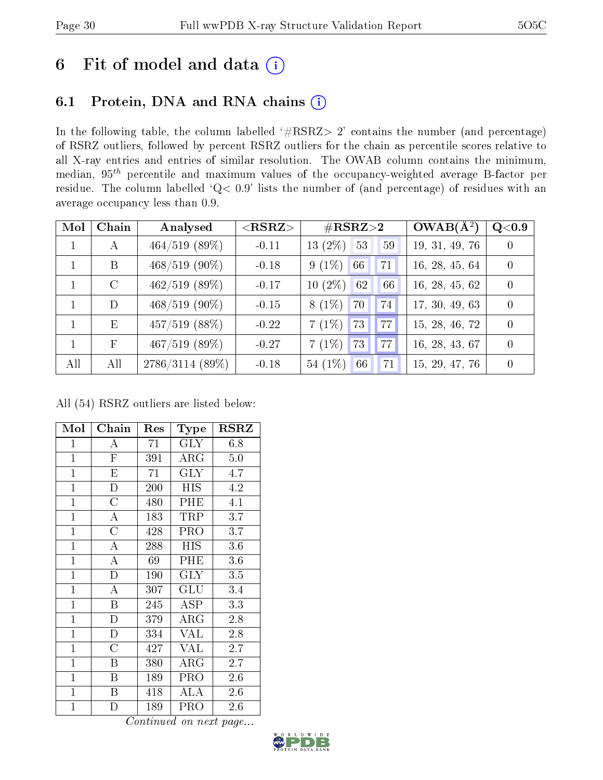# 6 Fit of model and data  $(i)$

# 6.1 Protein, DNA and RNA chains  $(i)$

In the following table, the column labelled  $#RSRZ> 2'$  contains the number (and percentage) of RSRZ outliers, followed by percent RSRZ outliers for the chain as percentile scores relative to all X-ray entries and entries of similar resolution. The OWAB column contains the minimum, median,  $95<sup>th</sup>$  percentile and maximum values of the occupancy-weighted average B-factor per residue. The column labelled ' $Q< 0.9$ ' lists the number of (and percentage) of residues with an average occupancy less than 0.9.

| Mol          | Chain        | Analysed        | $<$ RSRZ $>$ | $\#\text{RSRZ}\text{>2}$ | $OWAB(A^2)$    | $Q<$ $0.9$ |
|--------------|--------------|-----------------|--------------|--------------------------|----------------|------------|
| $\mathbf{1}$ | А            | $464/519$ (89%) | $-0.11$      | 13 $(2\%)$<br>53<br>59   | 19, 31, 49, 76 | $\Omega$   |
| $\mathbf{1}$ | B            | $468/519$ (90%) | $-0.18$      | $9(1\%)$<br>66<br>71     | 16, 28, 45, 64 | $\theta$   |
|              | $\rm C$      | $462/519$ (89%) | $-0.17$      | $10(2\%)$<br>66<br>62    | 16, 28, 45, 62 | $\theta$   |
|              | D            | $468/519$ (90%) | $-0.15$      | $8(1\%)$<br>74<br>70     | 17, 30, 49, 63 | $\Omega$   |
| $\mathbf{1}$ | E            | $457/519$ (88%) | $-0.22$      | $7(1\%)$ 73<br>77        | 15, 28, 46, 72 | $\Omega$   |
| $\mathbf{1}$ | $\mathbf{F}$ | $467/519$ (89%) | $-0.27$      | $7(1\%)$<br>77<br>73     | 16, 28, 43, 67 | $\theta$   |
| All          | All          | 2786/3114 (89%) | $-0.18$      | 54 $(1%)$<br>66<br>71    | 15, 29, 47, 76 | $\theta$   |

All (54) RSRZ outliers are listed below:

| Mol            | Chain                   | Res | Type       | <b>RSRZ</b> |
|----------------|-------------------------|-----|------------|-------------|
| $\mathbf{1}$   | А                       | 71  | <b>GLY</b> | 6.8         |
| $\mathbf{1}$   | ${\bf F}$               | 391 | $\rm{ARG}$ | 5.0         |
| $\mathbf{1}$   | $\overline{\mathrm{E}}$ | 71  | <b>GLY</b> | 4.7         |
| $\mathbf{1}$   | $\mathbf{D}$            | 200 | <b>HIS</b> | 4.2         |
| $\mathbf{1}$   | $\overline{\rm C}$      | 480 | PHE        | 4.1         |
| $\mathbf{1}$   | A                       | 183 | TRP        | 3.7         |
| $\mathbf{1}$   | $\overline{\rm C}$      | 428 | PRO        | 3.7         |
| $\mathbf{1}$   | A                       | 288 | HIS        | 3.6         |
| $\mathbf{1}$   | A                       | 69  | PHE        | 3.6         |
| $\mathbf{1}$   | $\bar{\rm D}$           | 190 | <b>GLY</b> | 3.5         |
| $\mathbf{1}$   | A                       | 307 | GLU        | 3.4         |
| $\overline{1}$ | Β                       | 245 | ASP        | 3.3         |
| $\mathbf{1}$   | $\mathbf{D}$            | 379 | $\rm{ARG}$ | 2.8         |
| $\mathbf{1}$   | D                       | 334 | <b>VAL</b> | 2.8         |
| $\mathbf{1}$   | $\overline{\rm C}$      | 427 | <b>VAL</b> | 2.7         |
| $\mathbf{1}$   | B                       | 380 | ARG        | 2.7         |
| $\mathbf{1}$   | Β                       | 189 | PRO        | 2.6         |
| $\mathbf{1}$   | Β                       | 418 | <b>ALA</b> | 2.6         |
| $\mathbf{1}$   | D                       | 189 | PRO        | 2.6         |

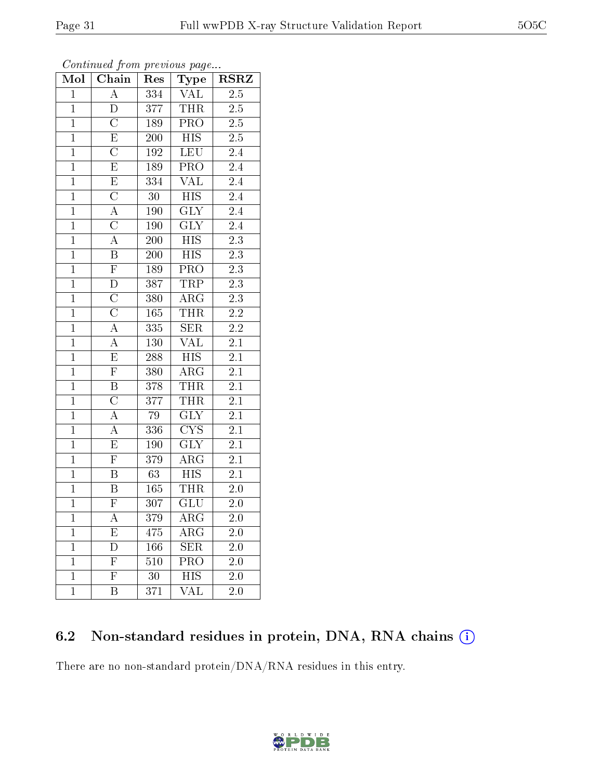| Mol            | Chain                   | Res              | Type                            | $_{\rm RSRZ}$    |  |
|----------------|-------------------------|------------------|---------------------------------|------------------|--|
| $\mathbf{1}$   | $\overline{\rm A}$      | 334              | $\overline{\text{VAL}}$         | 2.5              |  |
| $\mathbf{1}$   | $\overline{\text{D}}$   | 377              | <b>THR</b>                      | $2.5\,$          |  |
| $\mathbf{1}$   | $\overline{\rm C}$      | 189              | $\overline{\text{PRO}}$         | $\overline{2.5}$ |  |
| $\mathbf{1}$   | $\overline{E}$          | 200              | <b>HIS</b>                      | $2.5\,$          |  |
| $\mathbf{1}$   | $\overline{\rm C}$      | 192              | <b>LEU</b>                      | $2.4\,$          |  |
| $\mathbf{1}$   | ${\rm E}$               | 189              | $PR\overline{O}$                | 2.4              |  |
| $\overline{1}$ | $\mathbf E$             | 334              | $\overline{\text{VAL}}$         | 2.4              |  |
| $\overline{1}$ | $\overline{C}$          | 30               | $\overline{HIS}$                | $\overline{2.4}$ |  |
| $\mathbf{1}$   | $\overline{A}$          | 190              | <b>GLY</b>                      | $2.4\,$          |  |
| $\mathbf{1}$   | $\overline{\rm C}$      | <b>190</b>       | $\overline{\text{GLY}}$         | $\overline{2.4}$ |  |
| $\overline{1}$ | $\overline{A}$          | 200              | <b>HIS</b>                      | $2.3\,$          |  |
| $\overline{1}$ | $\overline{\mathrm{B}}$ | $\overline{200}$ | $\overline{\mathrm{HIS}}$       | $\overline{2.3}$ |  |
| $\overline{1}$ | $\overline{\mathrm{F}}$ | 189              | PRO                             | $2.3\,$          |  |
| $\overline{1}$ | $\overline{\rm D}$      | 387              | TRP                             | $\overline{2.3}$ |  |
| $\overline{1}$ | $\overline{\rm C}$      | 380              | $\rm{ARG}$                      | $\overline{2.3}$ |  |
| $\overline{1}$ | $\overline{\text{C}}$   | 165              | <b>THR</b>                      | $\overline{2.2}$ |  |
| $\overline{1}$ | $\overline{A}$          | 335              | $\overline{\text{SER}}$         | $\overline{2.2}$ |  |
| $\overline{1}$ | $\rm A$                 | 130              | VAL                             | 2.1              |  |
| $\mathbf{1}$   | $\overline{\mathrm{E}}$ | 288              | <b>HIS</b>                      | 2.1              |  |
| $\overline{1}$ | $\overline{\mathrm{F}}$ | 380              | $\rm{ARG}$                      | $2.1\,$          |  |
| $\overline{1}$ | B                       | 378              | <b>THR</b>                      | $2.1\,$          |  |
| $\overline{1}$ | $\overline{\rm C}$      | 377              | <b>THR</b>                      | $\overline{2.1}$ |  |
| $\mathbf{1}$   | $\bf{A}$                | 79               | <b>GLY</b>                      | 2.1              |  |
| $\mathbf{1}$   | $\overline{A}$          | 336              | $\overline{\text{C} \text{YS}}$ | $2.1\,$          |  |
| $\overline{1}$ | $\overline{\mathrm{E}}$ | 190              | <b>GLY</b>                      | $2.1\,$          |  |
| $\overline{1}$ | $\overline{F}$          | 379              | ARG                             | $2.1\,$          |  |
| $\overline{1}$ | $\overline{\mathrm{B}}$ | 63               | $\overline{HIS}$                | $\overline{2.1}$ |  |
| $\mathbf{1}$   | B                       | 165              | <b>THR</b>                      | 2.0              |  |
| $\mathbf{1}$   | $\overline{\mathrm{F}}$ | $\overline{3}07$ | $\overline{\text{GLU}}$         | 2.0              |  |
| 1              | А                       | 379              | $\overline{\rm{ARG}}$           | $2.0\,$          |  |
| $\mathbf{1}$   | E                       | 475              | $\rm{AR}\bar{\rm{G}}$           | 2.0              |  |
| $\mathbf 1$    | D                       | 166              | SER                             | 2.0              |  |
| $\mathbf{1}$   | $\mathbf{F}$            | 510              | PRO                             | 2.0              |  |
| $\mathbf 1$    | $\overline{\mathrm{F}}$ | 30               | <b>HIS</b>                      | $2.\overline{0}$ |  |
| $\mathbf{1}$   | B                       | 371              | VAL                             | 2.0              |  |

Continued from previous page...

# 6.2 Non-standard residues in protein, DNA, RNA chains (i)

There are no non-standard protein/DNA/RNA residues in this entry.